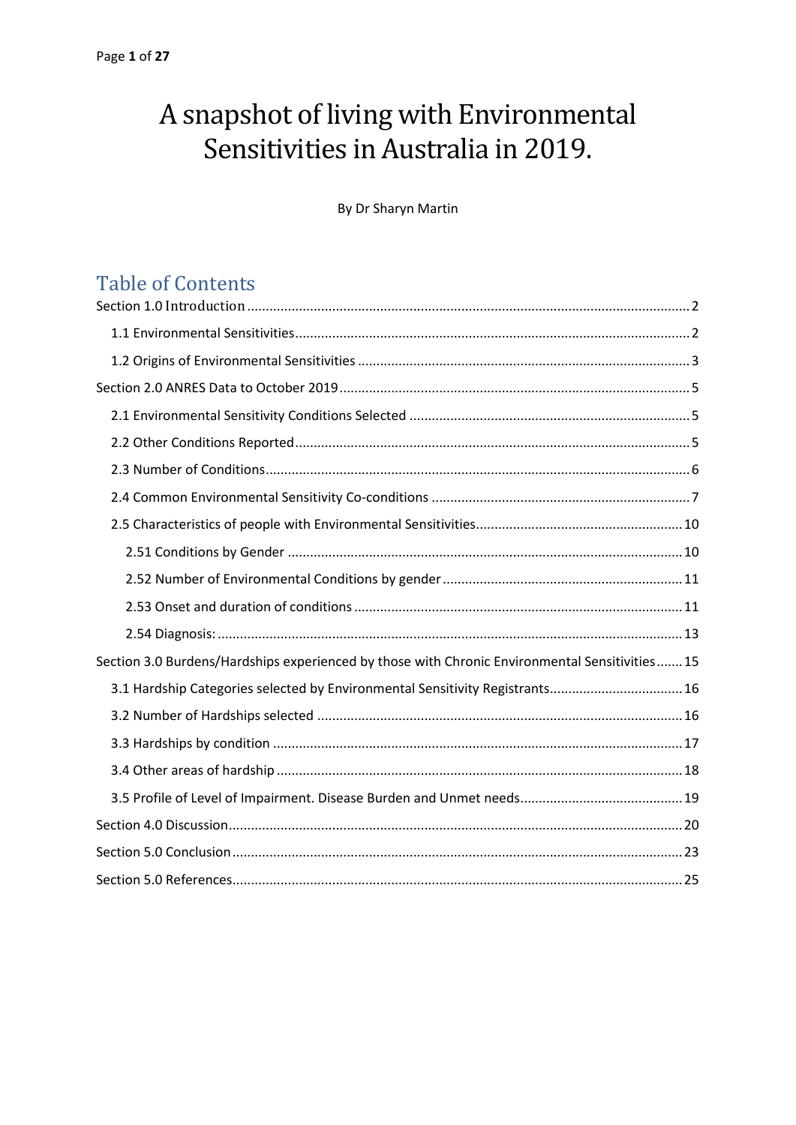# A snapshot of living with Environmental Sensitivities in Australia in 2019.

By Dr Sharyn Martin

# Table of Contents

| Section 3.0 Burdens/Hardships experienced by those with Chronic Environmental Sensitivities 15 |
|------------------------------------------------------------------------------------------------|
| 3.1 Hardship Categories selected by Environmental Sensitivity Registrants 16                   |
|                                                                                                |
|                                                                                                |
|                                                                                                |
|                                                                                                |
|                                                                                                |
|                                                                                                |
|                                                                                                |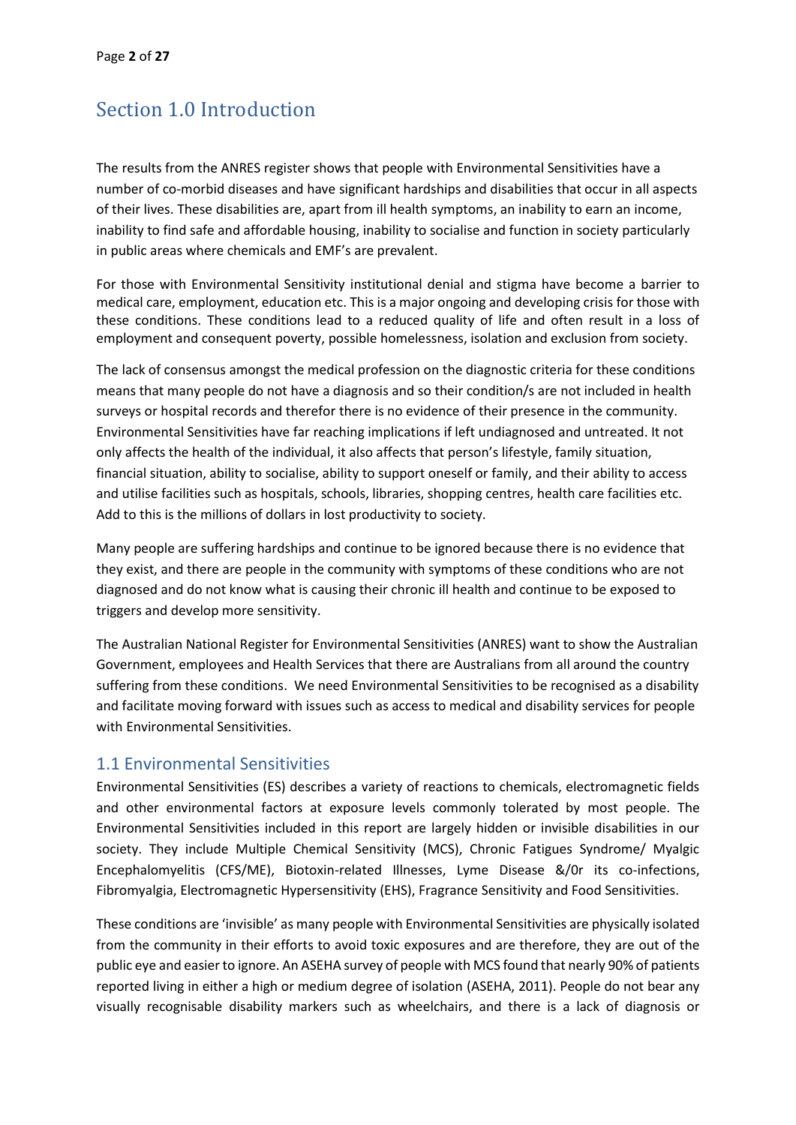# <span id="page-1-0"></span>Section 1.0 Introduction

The results from the ANRES register shows that people with Environmental Sensitivities have a number of co-morbid diseases and have significant hardships and disabilities that occur in all aspects of their lives. These disabilities are, apart from ill health symptoms, an inability to earn an income, inability to find safe and affordable housing, inability to socialise and function in society particularly in public areas where chemicals and EMF's are prevalent.

For those with Environmental Sensitivity institutional denial and stigma have become a barrier to medical care, employment, education etc. This is a major ongoing and developing crisis for those with these conditions. These conditions lead to a reduced quality of life and often result in a loss of employment and consequent poverty, possible homelessness, isolation and exclusion from society.

The lack of consensus amongst the medical profession on the diagnostic criteria for these conditions means that many people do not have a diagnosis and so their condition/s are not included in health surveys or hospital records and therefor there is no evidence of their presence in the community. Environmental Sensitivities have far reaching implications if left undiagnosed and untreated. It not only affects the health of the individual, it also affects that person's lifestyle, family situation, financial situation, ability to socialise, ability to support oneself or family, and their ability to access and utilise facilities such as hospitals, schools, libraries, shopping centres, health care facilities etc. Add to this is the millions of dollars in lost productivity to society.

Many people are suffering hardships and continue to be ignored because there is no evidence that they exist, and there are people in the community with symptoms of these conditions who are not diagnosed and do not know what is causing their chronic ill health and continue to be exposed to triggers and develop more sensitivity.

The Australian National Register for Environmental Sensitivities (ANRES) want to show the Australian Government, employees and Health Services that there are Australians from all around the country suffering from these conditions. We need Environmental Sensitivities to be recognised as a disability and facilitate moving forward with issues such as access to medical and disability services for people with Environmental Sensitivities.

#### <span id="page-1-1"></span>1.1 Environmental Sensitivities

Environmental Sensitivities (ES) describes a variety of reactions to chemicals, electromagnetic fields and other environmental factors at exposure levels commonly tolerated by most people. The Environmental Sensitivities included in this report are largely hidden or invisible disabilities in our society. They include Multiple Chemical Sensitivity (MCS), Chronic Fatigues Syndrome/ Myalgic Encephalomyelitis (CFS/ME), Biotoxin-related Illnesses, Lyme Disease &/0r its co-infections, Fibromyalgia, Electromagnetic Hypersensitivity (EHS), Fragrance Sensitivity and Food Sensitivities.

These conditions are 'invisible' as many people with Environmental Sensitivities are physically isolated from the community in their efforts to avoid toxic exposures and are therefore, they are out of the public eye and easier to ignore. An ASEHA survey of people with MCS found that nearly 90% of patients reported living in either a high or medium degree of isolation (ASEHA, 2011). People do not bear any visually recognisable disability markers such as wheelchairs, and there is a lack of diagnosis or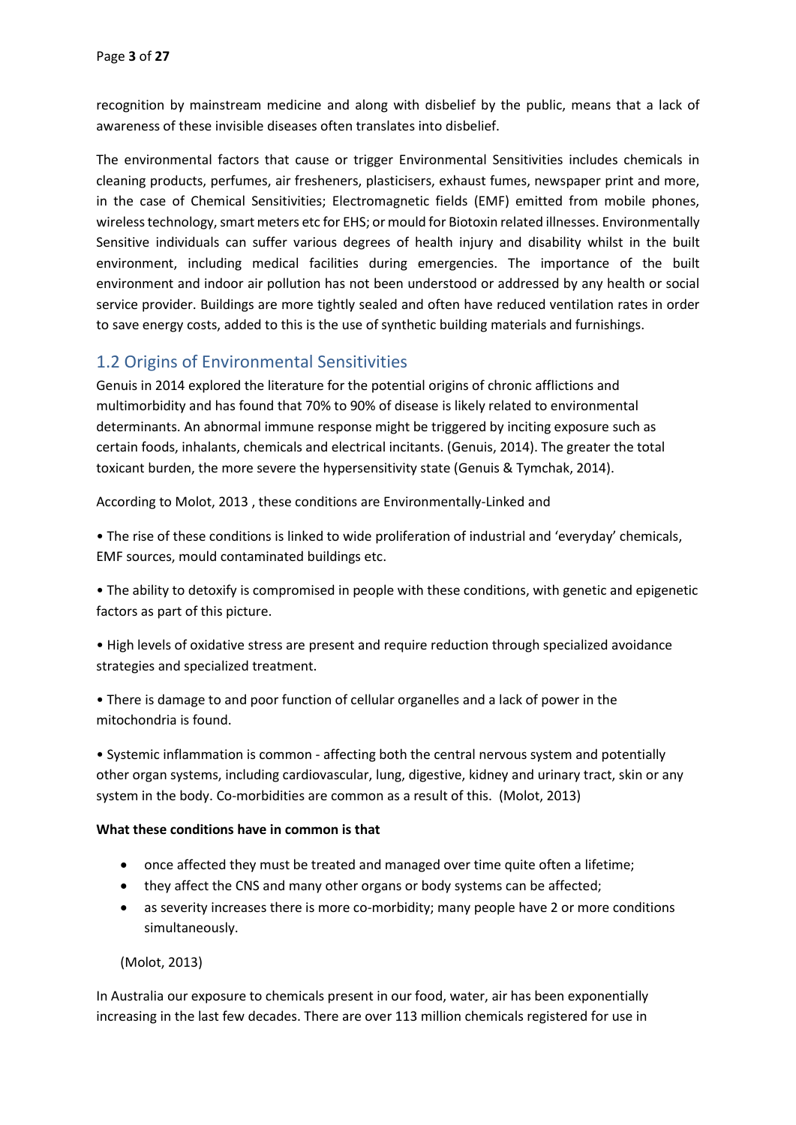recognition by mainstream medicine and along with disbelief by the public, means that a lack of awareness of these invisible diseases often translates into disbelief.

The environmental factors that cause or trigger Environmental Sensitivities includes chemicals in cleaning products, perfumes, air fresheners, plasticisers, exhaust fumes, newspaper print and more, in the case of Chemical Sensitivities; Electromagnetic fields (EMF) emitted from mobile phones, wireless technology, smart meters etc for EHS; or mould for Biotoxin related illnesses. Environmentally Sensitive individuals can suffer various degrees of health injury and disability whilst in the built environment, including medical facilities during emergencies. The importance of the built environment and indoor air pollution has not been understood or addressed by any health or social service provider. Buildings are more tightly sealed and often have reduced ventilation rates in order to save energy costs, added to this is the use of synthetic building materials and furnishings.

## <span id="page-2-0"></span>1.2 Origins of Environmental Sensitivities

Genuis in 2014 explored the literature for the potential origins of chronic afflictions and multimorbidity and has found that 70% to 90% of disease is likely related to environmental determinants. An abnormal immune response might be triggered by inciting exposure such as certain foods, inhalants, chemicals and electrical incitants. (Genuis, 2014). The greater the total toxicant burden, the more severe the hypersensitivity state (Genuis & Tymchak, 2014).

According to Molot, 2013 , these conditions are Environmentally-Linked and

• The rise of these conditions is linked to wide proliferation of industrial and 'everyday' chemicals, EMF sources, mould contaminated buildings etc.

• The ability to detoxify is compromised in people with these conditions, with genetic and epigenetic factors as part of this picture.

• High levels of oxidative stress are present and require reduction through specialized avoidance strategies and specialized treatment.

• There is damage to and poor function of cellular organelles and a lack of power in the mitochondria is found.

• Systemic inflammation is common - affecting both the central nervous system and potentially other organ systems, including cardiovascular, lung, digestive, kidney and urinary tract, skin or any system in the body. Co-morbidities are common as a result of this. (Molot, 2013)

#### **What these conditions have in common is that**

- once affected they must be treated and managed over time quite often a lifetime;
- they affect the CNS and many other organs or body systems can be affected;
- as severity increases there is more co-morbidity; many people have 2 or more conditions simultaneously.

(Molot, 2013)

In Australia our exposure to chemicals present in our food, water, air has been exponentially increasing in the last few decades. There are over 113 million chemicals registered for use in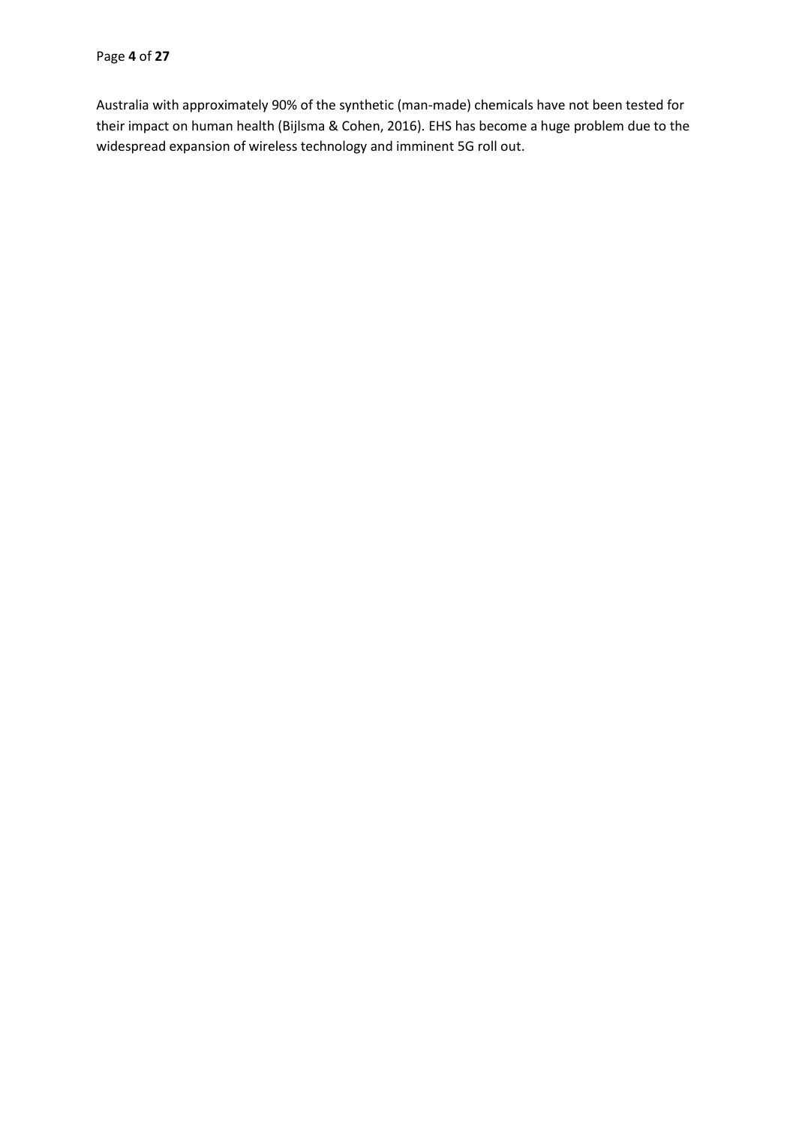Australia with approximately 90% of the synthetic (man-made) chemicals have not been tested for their impact on human health (Bijlsma & Cohen, 2016). EHS has become a huge problem due to the widespread expansion of wireless technology and imminent 5G roll out.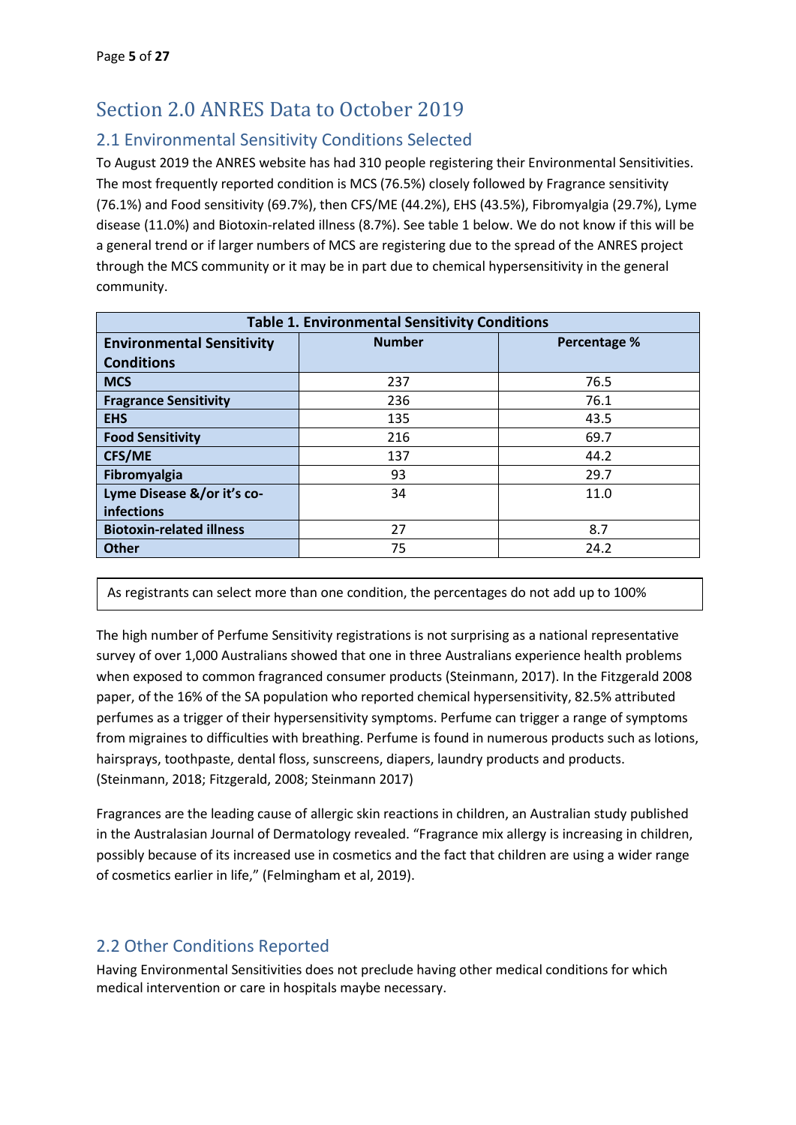# <span id="page-4-0"></span>Section 2.0 ANRES Data to October 2019

## <span id="page-4-1"></span>2.1 Environmental Sensitivity Conditions Selected

To August 2019 the ANRES website has had 310 people registering their Environmental Sensitivities. The most frequently reported condition is MCS (76.5%) closely followed by Fragrance sensitivity (76.1%) and Food sensitivity (69.7%), then CFS/ME (44.2%), EHS (43.5%), Fibromyalgia (29.7%), Lyme disease (11.0%) and Biotoxin-related illness (8.7%). See table 1 below. We do not know if this will be a general trend or if larger numbers of MCS are registering due to the spread of the ANRES project through the MCS community or it may be in part due to chemical hypersensitivity in the general community.

| <b>Table 1. Environmental Sensitivity Conditions</b> |                                      |      |  |  |  |
|------------------------------------------------------|--------------------------------------|------|--|--|--|
| <b>Environmental Sensitivity</b>                     | <b>Number</b><br><b>Percentage %</b> |      |  |  |  |
| <b>Conditions</b>                                    |                                      |      |  |  |  |
| <b>MCS</b>                                           | 237                                  | 76.5 |  |  |  |
| <b>Fragrance Sensitivity</b>                         | 236                                  | 76.1 |  |  |  |
| <b>EHS</b>                                           | 135                                  | 43.5 |  |  |  |
| <b>Food Sensitivity</b>                              | 216                                  | 69.7 |  |  |  |
| <b>CFS/ME</b>                                        | 137                                  | 44.2 |  |  |  |
| Fibromyalgia                                         | 93                                   | 29.7 |  |  |  |
| Lyme Disease &/or it's co-                           | 34                                   | 11.0 |  |  |  |
| infections                                           |                                      |      |  |  |  |
| <b>Biotoxin-related illness</b>                      | 27                                   | 8.7  |  |  |  |
| <b>Other</b>                                         | 75                                   | 24.2 |  |  |  |

As registrants can select more than one condition, the percentages do not add up to 100%

The high number of Perfume Sensitivity registrations is not surprising as a national representative survey of over 1,000 Australians showed that one in three Australians experience health problems when exposed to common fragranced consumer products (Steinmann, 2017). In the Fitzgerald 2008 paper, of the 16% of the SA population who reported chemical hypersensitivity, 82.5% attributed perfumes as a trigger of their hypersensitivity symptoms. Perfume can trigger a range of symptoms from migraines to difficulties with breathing. Perfume is found in numerous products such as lotions, hairsprays, toothpaste, dental floss, sunscreens, diapers, laundry products and products. (Steinmann, 2018; Fitzgerald, 2008; Steinmann 2017)

Fragrances are the leading cause of allergic skin reactions in children, an Australian study published in the Australasian Journal of Dermatology revealed. "Fragrance mix allergy is increasing in children, possibly because of its increased use in cosmetics and the fact that children are using a wider range of cosmetics earlier in life," (Felmingham et al, 2019).

## <span id="page-4-2"></span>2.2 Other Conditions Reported

Having Environmental Sensitivities does not preclude having other medical conditions for which medical intervention or care in hospitals maybe necessary.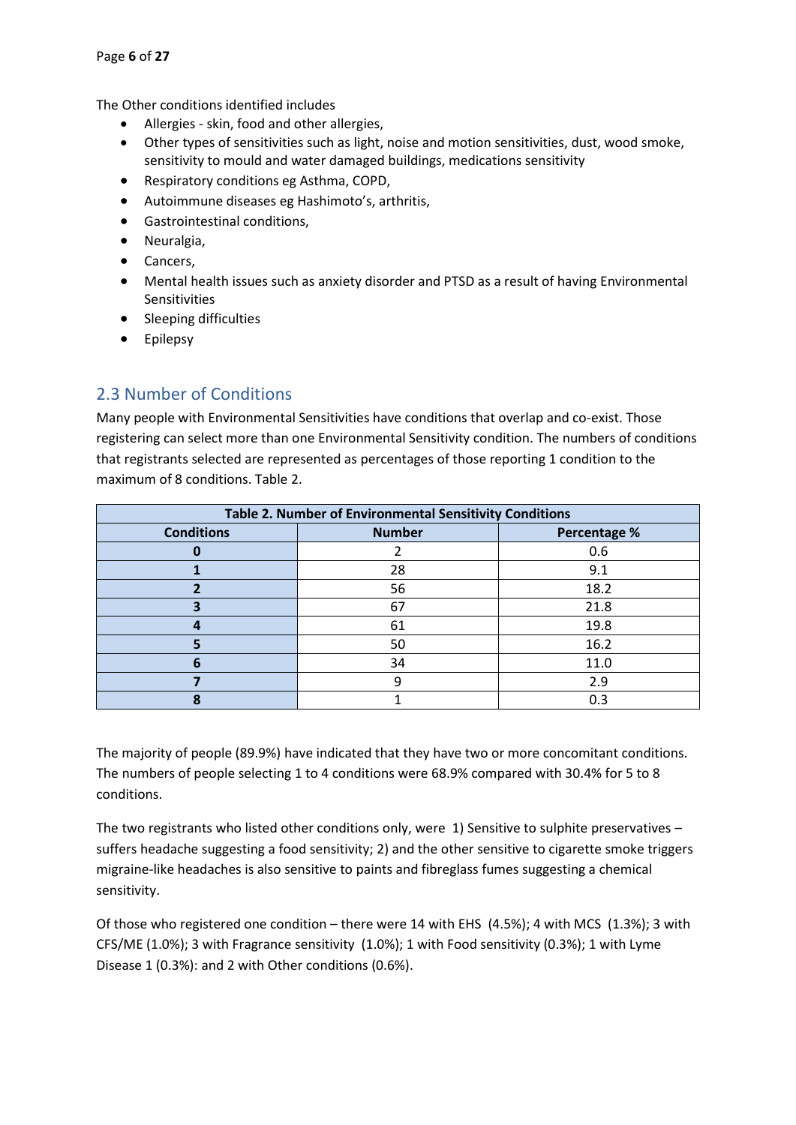The Other conditions identified includes

- Allergies skin, food and other allergies,
- Other types of sensitivities such as light, noise and motion sensitivities, dust, wood smoke, sensitivity to mould and water damaged buildings, medications sensitivity
- Respiratory conditions eg Asthma, COPD,
- Autoimmune diseases eg Hashimoto's, arthritis,
- Gastrointestinal conditions,
- Neuralgia,
- Cancers,
- Mental health issues such as anxiety disorder and PTSD as a result of having Environmental Sensitivities
- Sleeping difficulties
- Epilepsy

## <span id="page-5-0"></span>2.3 Number of Conditions

Many people with Environmental Sensitivities have conditions that overlap and co-exist. Those registering can select more than one Environmental Sensitivity condition. The numbers of conditions that registrants selected are represented as percentages of those reporting 1 condition to the maximum of 8 conditions. Table 2.

| Table 2. Number of Environmental Sensitivity Conditions |               |              |  |
|---------------------------------------------------------|---------------|--------------|--|
| <b>Conditions</b>                                       | <b>Number</b> | Percentage % |  |
|                                                         |               | 0.6          |  |
|                                                         | 28            | 9.1          |  |
|                                                         | 56            | 18.2         |  |
| 3                                                       | 67            | 21.8         |  |
|                                                         | 61            | 19.8         |  |
|                                                         | 50            | 16.2         |  |
| 6                                                       | 34            | 11.0         |  |
|                                                         |               | 2.9          |  |
| 8                                                       |               | 0.3          |  |

The majority of people (89.9%) have indicated that they have two or more concomitant conditions. The numbers of people selecting 1 to 4 conditions were 68.9% compared with 30.4% for 5 to 8 conditions.

The two registrants who listed other conditions only, were 1) Sensitive to sulphite preservatives – suffers headache suggesting a food sensitivity; 2) and the other sensitive to cigarette smoke triggers migraine-like headaches is also sensitive to paints and fibreglass fumes suggesting a chemical sensitivity.

Of those who registered one condition – there were 14 with EHS (4.5%); 4 with MCS (1.3%); 3 with CFS/ME (1.0%); 3 with Fragrance sensitivity (1.0%); 1 with Food sensitivity (0.3%); 1 with Lyme Disease 1 (0.3%): and 2 with Other conditions (0.6%).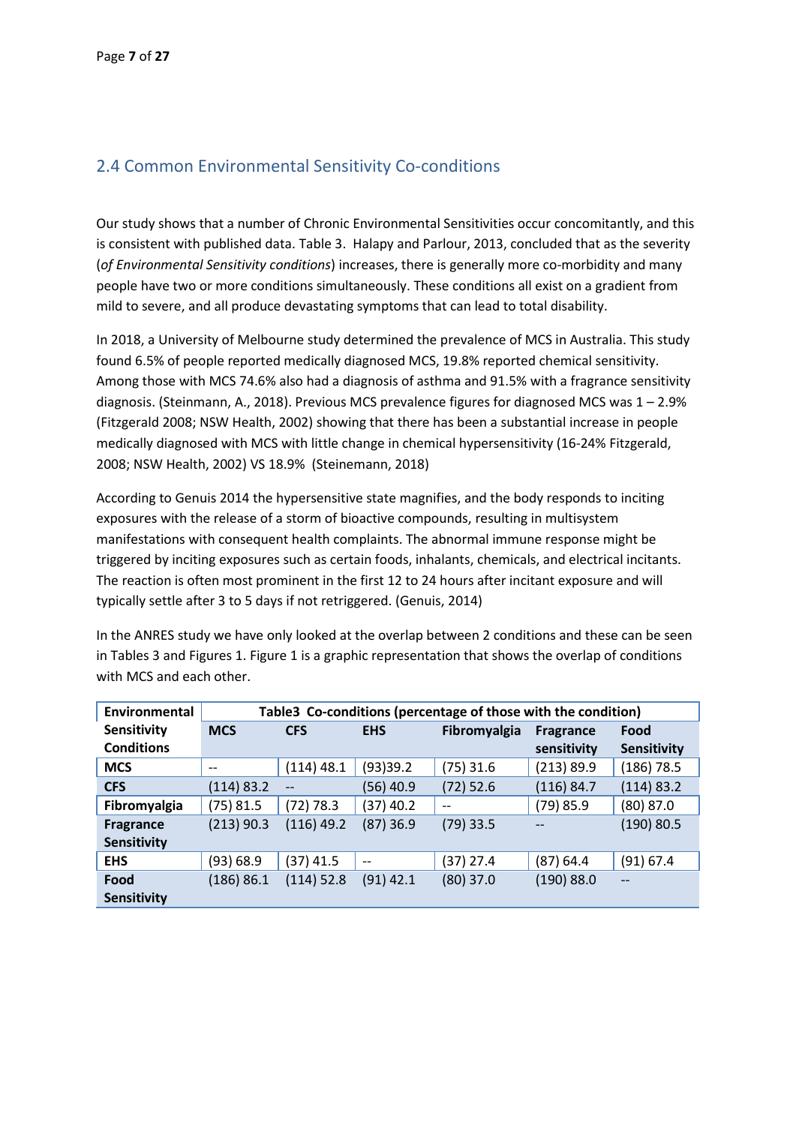## <span id="page-6-0"></span>2.4 Common Environmental Sensitivity Co-conditions

Our study shows that a number of Chronic Environmental Sensitivities occur concomitantly, and this is consistent with published data. Table 3. Halapy and Parlour, 2013, concluded that as the severity (*of Environmental Sensitivity conditions*) increases, there is generally more co-morbidity and many people have two or more conditions simultaneously. These conditions all exist on a gradient from mild to severe, and all produce devastating symptoms that can lead to total disability.

In 2018, a University of Melbourne study determined the prevalence of MCS in Australia. This study found 6.5% of people reported medically diagnosed MCS, 19.8% reported chemical sensitivity. Among those with MCS 74.6% also had a diagnosis of asthma and 91.5% with a fragrance sensitivity diagnosis. (Steinmann, A., 2018). Previous MCS prevalence figures for diagnosed MCS was 1 – 2.9% (Fitzgerald 2008; NSW Health, 2002) showing that there has been a substantial increase in people medically diagnosed with MCS with little change in chemical hypersensitivity (16-24% Fitzgerald, 2008; NSW Health, 2002) VS 18.9% (Steinemann, 2018)

According to Genuis 2014 the hypersensitive state magnifies, and the body responds to inciting exposures with the release of a storm of bioactive compounds, resulting in multisystem manifestations with consequent health complaints. The abnormal immune response might be triggered by inciting exposures such as certain foods, inhalants, chemicals, and electrical incitants. The reaction is often most prominent in the first 12 to 24 hours after incitant exposure and will typically settle after 3 to 5 days if not retriggered. (Genuis, 2014)

In the ANRES study we have only looked at the overlap between 2 conditions and these can be seen in Tables 3 and Figures 1. Figure 1 is a graphic representation that shows the overlap of conditions with MCS and each other.

| Environmental      |              | Table3 Co-conditions (percentage of those with the condition) |                                       |                   |                  |              |
|--------------------|--------------|---------------------------------------------------------------|---------------------------------------|-------------------|------------------|--------------|
| Sensitivity        | <b>MCS</b>   | <b>CFS</b>                                                    | <b>EHS</b>                            | Fibromyalgia      | <b>Fragrance</b> | Food         |
| <b>Conditions</b>  |              |                                                               |                                       |                   | sensitivity      | Sensitivity  |
| <b>MCS</b>         | $- -$        | $(114)$ 48.1                                                  | (93)39.2                              | $(75)$ 31.6       | (213) 89.9       | $(186)$ 78.5 |
| <b>CFS</b>         | (114) 83.2   | $-$                                                           | $(56)$ 40.9                           | $(72)$ 52.6       | (116) 84.7       | (114) 83.2   |
| Fibromyalgia       | $(75)$ 81.5  | (72) 78.3                                                     | $(37)$ 40.2                           | $\qquad \qquad -$ | $(79)$ 85.9      | $(80)$ 87.0  |
| <b>Fragrance</b>   | $(213)$ 90.3 | $(116)$ 49.2                                                  | $(87)$ 36.9                           | $(79)$ 33.5       |                  | (190) 80.5   |
| <b>Sensitivity</b> |              |                                                               |                                       |                   |                  |              |
| <b>EHS</b>         | (93) 68.9    | $(37)$ 41.5                                                   | $\hspace{0.05cm}$ – $\hspace{0.05cm}$ | (37) 27.4         | (87) 64.4        | $(91)$ 67.4  |
| Food               | (186) 86.1   | $(114)$ 52.8                                                  | $(91)$ 42.1                           | $(80)$ 37.0       | (190) 88.0       | $-$          |
| <b>Sensitivity</b> |              |                                                               |                                       |                   |                  |              |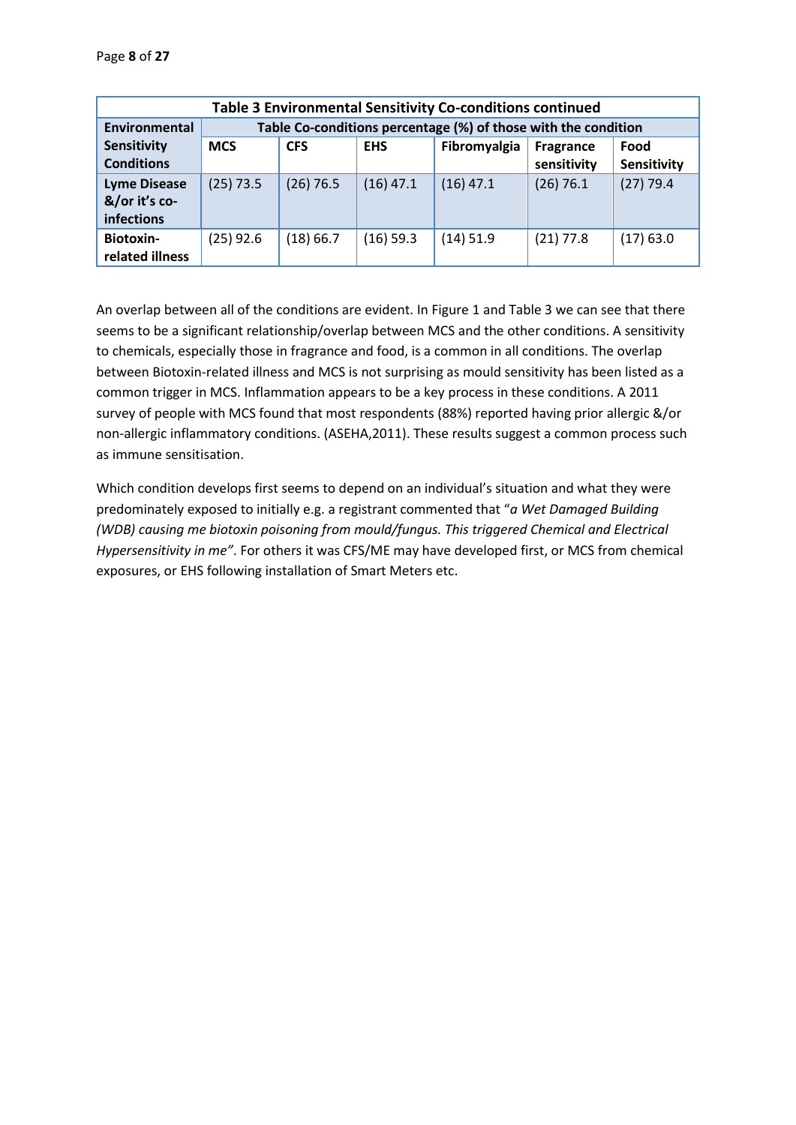Page **8** of **27**

| Table 3 Environmental Sensitivity Co-conditions continued |             |             |             |                                                                |             |             |
|-----------------------------------------------------------|-------------|-------------|-------------|----------------------------------------------------------------|-------------|-------------|
| Environmental                                             |             |             |             | Table Co-conditions percentage (%) of those with the condition |             |             |
| <b>Sensitivity</b>                                        | <b>MCS</b>  | <b>CFS</b>  | <b>EHS</b>  | Fibromyalgia                                                   | Fragrance   | Food        |
| <b>Conditions</b>                                         |             |             |             |                                                                | sensitivity | Sensitivity |
| <b>Lyme Disease</b>                                       | $(25)$ 73.5 | $(26)$ 76.5 | $(16)$ 47.1 | $(16)$ 47.1                                                    | $(26)$ 76.1 | $(27)$ 79.4 |
| &/or it's co-                                             |             |             |             |                                                                |             |             |
| infections                                                |             |             |             |                                                                |             |             |
| <b>Biotoxin-</b>                                          | $(25)$ 92.6 | (18) 66.7   | $(16)$ 59.3 | $(14)$ 51.9                                                    | $(21)$ 77.8 | $(17)$ 63.0 |
| related illness                                           |             |             |             |                                                                |             |             |

An overlap between all of the conditions are evident. In Figure 1 and Table 3 we can see that there seems to be a significant relationship/overlap between MCS and the other conditions. A sensitivity to chemicals, especially those in fragrance and food, is a common in all conditions. The overlap between Biotoxin-related illness and MCS is not surprising as mould sensitivity has been listed as a common trigger in MCS. Inflammation appears to be a key process in these conditions. A 2011 survey of people with MCS found that most respondents (88%) reported having prior allergic &/or non-allergic inflammatory conditions. (ASEHA,2011). These results suggest a common process such as immune sensitisation.

Which condition develops first seems to depend on an individual's situation and what they were predominately exposed to initially e.g. a registrant commented that "*a Wet Damaged Building (WDB) causing me biotoxin poisoning from mould/fungus. This triggered Chemical and Electrical Hypersensitivity in me"*. For others it was CFS/ME may have developed first, or MCS from chemical exposures, or EHS following installation of Smart Meters etc.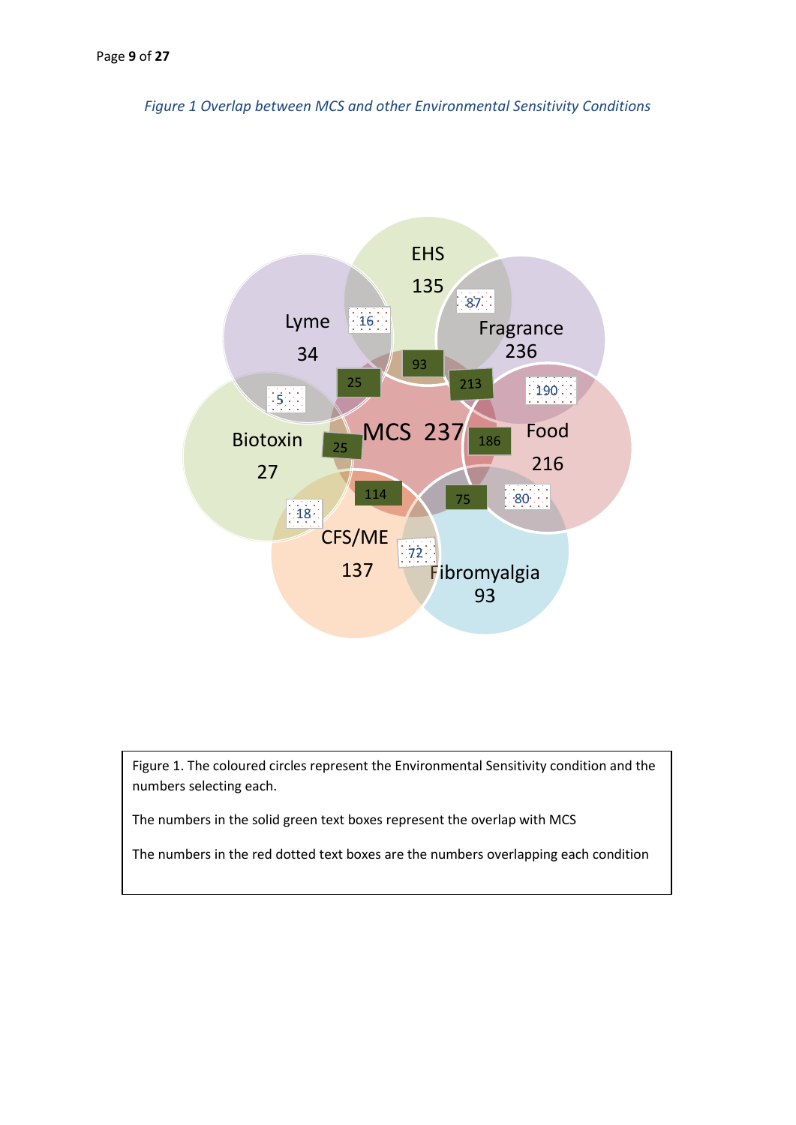*Figure 1 Overlap between MCS and other Environmental Sensitivity Conditions*



Figure 1. The coloured circles represent the Environmental Sensitivity condition and the numbers selecting each.

The numbers in the solid green text boxes represent the overlap with MCS

The numbers in the red dotted text boxes are the numbers overlapping each condition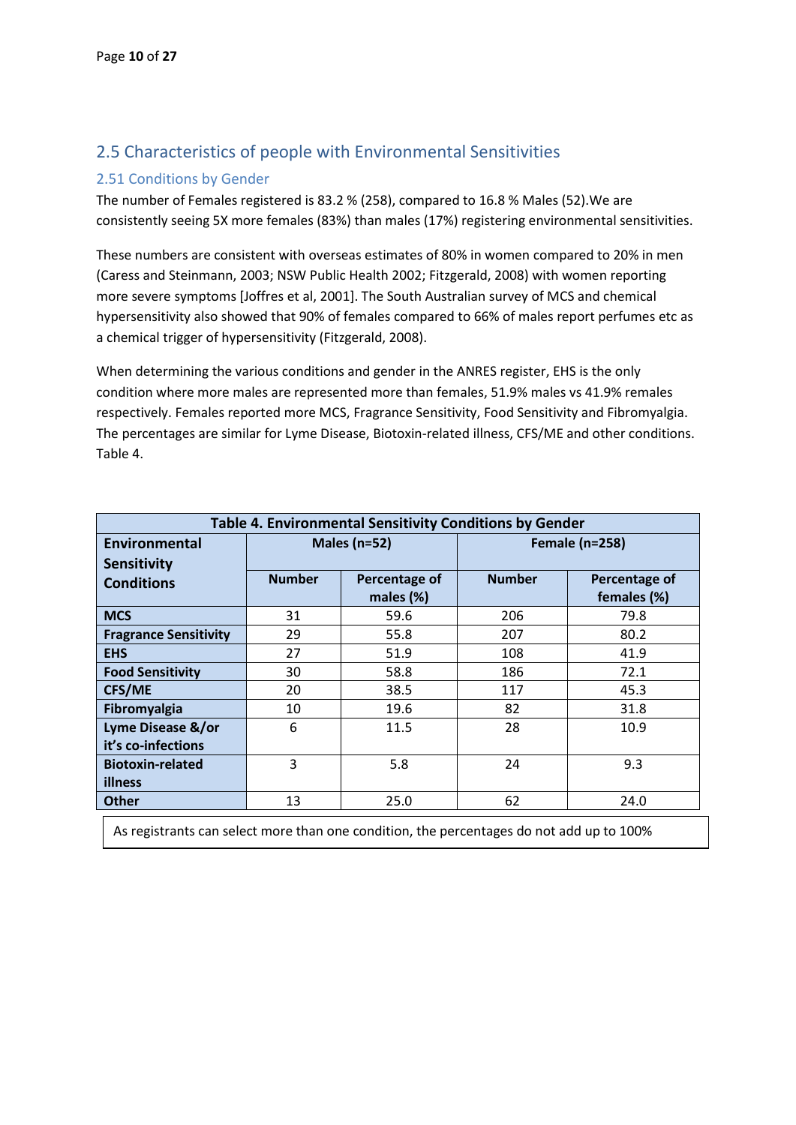## <span id="page-9-0"></span>2.5 Characteristics of people with Environmental Sensitivities

#### <span id="page-9-1"></span>2.51 Conditions by Gender

The number of Females registered is 83.2 % (258), compared to 16.8 % Males (52).We are consistently seeing 5X more females (83%) than males (17%) registering environmental sensitivities.

These numbers are consistent with overseas estimates of 80% in women compared to 20% in men (Caress and Steinmann, 2003; NSW Public Health 2002; Fitzgerald, 2008) with women reporting more severe symptoms [Joffres et al, 2001]. The South Australian survey of MCS and chemical hypersensitivity also showed that 90% of females compared to 66% of males report perfumes etc as a chemical trigger of hypersensitivity (Fitzgerald, 2008).

When determining the various conditions and gender in the ANRES register, EHS is the only condition where more males are represented more than females, 51.9% males vs 41.9% remales respectively. Females reported more MCS, Fragrance Sensitivity, Food Sensitivity and Fibromyalgia. The percentages are similar for Lyme Disease, Biotoxin-related illness, CFS/ME and other conditions. Table 4.

| Table 4. Environmental Sensitivity Conditions by Gender |                  |               |                       |               |
|---------------------------------------------------------|------------------|---------------|-----------------------|---------------|
| Environmental                                           | Males ( $n=52$ ) |               | <b>Female (n=258)</b> |               |
| <b>Sensitivity</b>                                      |                  |               |                       |               |
| <b>Conditions</b>                                       | <b>Number</b>    | Percentage of | <b>Number</b>         | Percentage of |
|                                                         |                  | males (%)     |                       | females (%)   |
| <b>MCS</b>                                              | 31               | 59.6          | 206                   | 79.8          |
| <b>Fragrance Sensitivity</b>                            | 29               | 55.8          | 207                   | 80.2          |
| <b>EHS</b>                                              | 27               | 51.9          | 108                   | 41.9          |
| <b>Food Sensitivity</b>                                 | 30               | 58.8          | 186                   | 72.1          |
| <b>CFS/ME</b>                                           | 20               | 38.5          | 117                   | 45.3          |
| Fibromyalgia                                            | 10               | 19.6          | 82                    | 31.8          |
| Lyme Disease &/or                                       | 6                | 11.5          | 28                    | 10.9          |
| it's co-infections                                      |                  |               |                       |               |
| <b>Biotoxin-related</b>                                 | 3                | 5.8           | 24                    | 9.3           |
| illness                                                 |                  |               |                       |               |
| <b>Other</b>                                            | 13               | 25.0          | 62                    | 24.0          |

As registrants can select more than one condition, the percentages do not add up to 100%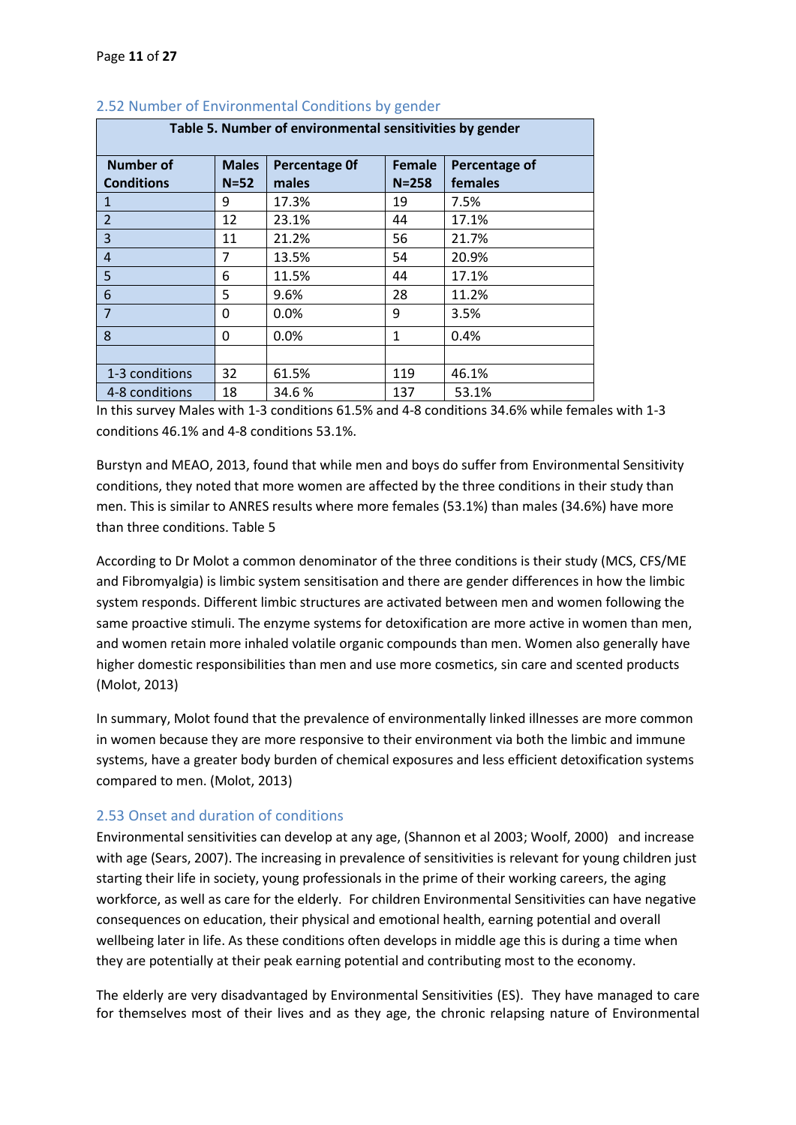| Table 5. Number of environmental sensitivities by gender |              |                      |               |               |
|----------------------------------------------------------|--------------|----------------------|---------------|---------------|
| <b>Number of</b>                                         | <b>Males</b> | <b>Percentage Of</b> | <b>Female</b> | Percentage of |
| <b>Conditions</b>                                        | $N = 52$     | males                | $N = 258$     | females       |
| 1                                                        | 9            | 17.3%                | 19            | 7.5%          |
| $\overline{2}$                                           | 12           | 23.1%                | 44            | 17.1%         |
| 3                                                        | 11           | 21.2%                | 56            | 21.7%         |
| 4                                                        | 7            | 13.5%                | 54            | 20.9%         |
| 5                                                        | 6            | 11.5%                | 44            | 17.1%         |
| 6                                                        | 5            | 9.6%                 | 28            | 11.2%         |
| 7                                                        | 0            | 0.0%                 | 9             | 3.5%          |
| 8                                                        | 0            | 0.0%                 | $\mathbf{1}$  | 0.4%          |
|                                                          |              |                      |               |               |
| 1-3 conditions                                           | 32           | 61.5%                | 119           | 46.1%         |
| 4-8 conditions                                           | 18           | 34.6%                | 137           | 53.1%         |

#### <span id="page-10-0"></span>2.52 Number of Environmental Conditions by gender

In this survey Males with 1-3 conditions 61.5% and 4-8 conditions 34.6% while females with 1-3 conditions 46.1% and 4-8 conditions 53.1%.

Burstyn and MEAO, 2013, found that while men and boys do suffer from Environmental Sensitivity conditions, they noted that more women are affected by the three conditions in their study than men. This is similar to ANRES results where more females (53.1%) than males (34.6%) have more than three conditions. Table 5

According to Dr Molot a common denominator of the three conditions is their study (MCS, CFS/ME and Fibromyalgia) is limbic system sensitisation and there are gender differences in how the limbic system responds. Different limbic structures are activated between men and women following the same proactive stimuli. The enzyme systems for detoxification are more active in women than men, and women retain more inhaled volatile organic compounds than men. Women also generally have higher domestic responsibilities than men and use more cosmetics, sin care and scented products (Molot, 2013)

In summary, Molot found that the prevalence of environmentally linked illnesses are more common in women because they are more responsive to their environment via both the limbic and immune systems, have a greater body burden of chemical exposures and less efficient detoxification systems compared to men. (Molot, 2013)

#### <span id="page-10-1"></span>2.53 Onset and duration of conditions

Environmental sensitivities can develop at any age, (Shannon et al 2003; Woolf, 2000) and increase with age (Sears, 2007). The increasing in prevalence of sensitivities is relevant for young children just starting their life in society, young professionals in the prime of their working careers, the aging workforce, as well as care for the elderly. For children Environmental Sensitivities can have negative consequences on education, their physical and emotional health, earning potential and overall wellbeing later in life. As these conditions often develops in middle age this is during a time when they are potentially at their peak earning potential and contributing most to the economy.

The elderly are very disadvantaged by Environmental Sensitivities (ES). They have managed to care for themselves most of their lives and as they age, the chronic relapsing nature of Environmental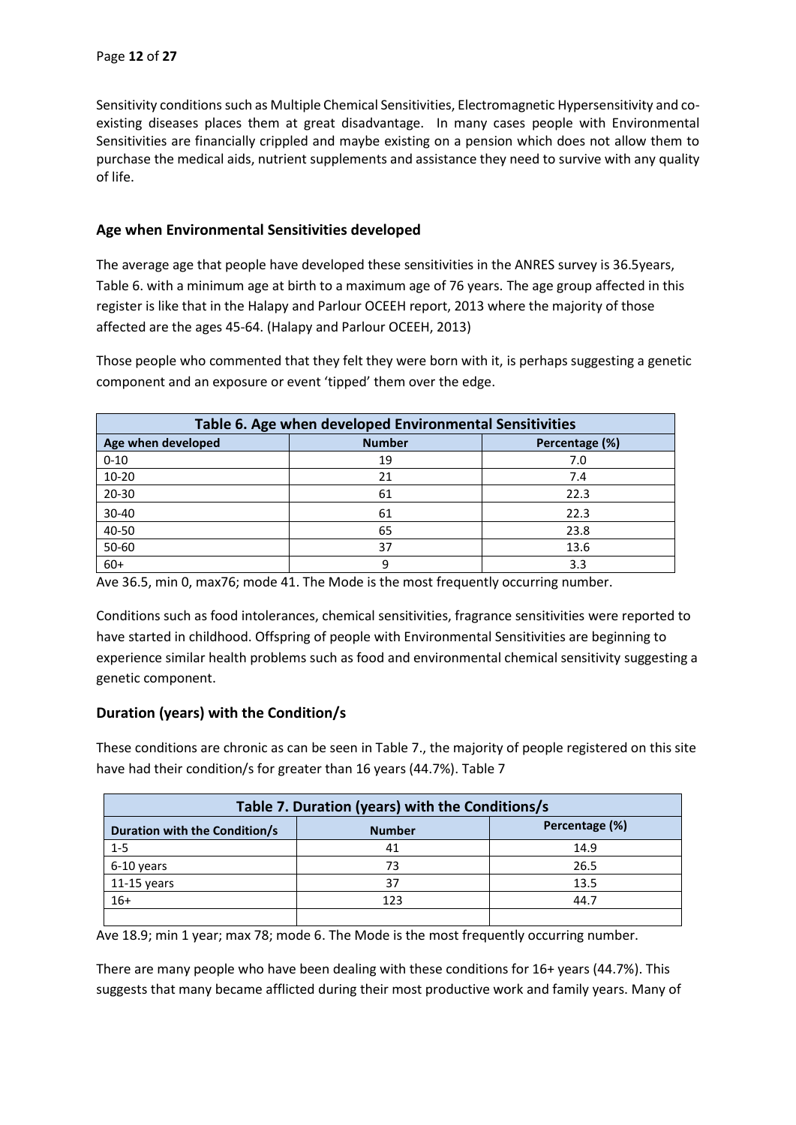Sensitivity conditions such as Multiple Chemical Sensitivities, Electromagnetic Hypersensitivity and coexisting diseases places them at great disadvantage. In many cases people with Environmental Sensitivities are financially crippled and maybe existing on a pension which does not allow them to purchase the medical aids, nutrient supplements and assistance they need to survive with any quality of life.

#### **Age when Environmental Sensitivities developed**

The average age that people have developed these sensitivities in the ANRES survey is 36.5years, Table 6. with a minimum age at birth to a maximum age of 76 years. The age group affected in this register is like that in the Halapy and Parlour OCEEH report, 2013 where the majority of those affected are the ages 45-64. (Halapy and Parlour OCEEH, 2013)

Those people who commented that they felt they were born with it, is perhaps suggesting a genetic component and an exposure or event 'tipped' them over the edge.

| Table 6. Age when developed Environmental Sensitivities |                                 |      |  |  |  |
|---------------------------------------------------------|---------------------------------|------|--|--|--|
| Age when developed                                      | <b>Number</b><br>Percentage (%) |      |  |  |  |
| $0 - 10$                                                | 19                              | 7.0  |  |  |  |
| $10 - 20$                                               | 21                              | 7.4  |  |  |  |
| 20-30                                                   | 61                              | 22.3 |  |  |  |
| 30-40                                                   | 61                              | 22.3 |  |  |  |
| 40-50                                                   | 65                              | 23.8 |  |  |  |
| 50-60                                                   | 37                              | 13.6 |  |  |  |
| $60+$                                                   | q                               | 3.3  |  |  |  |

Ave 36.5, min 0, max76; mode 41. The Mode is the most frequently occurring number.

Conditions such as food intolerances, chemical sensitivities, fragrance sensitivities were reported to have started in childhood. Offspring of people with Environmental Sensitivities are beginning to experience similar health problems such as food and environmental chemical sensitivity suggesting a genetic component.

#### **Duration (years) with the Condition/s**

These conditions are chronic as can be seen in Table 7., the majority of people registered on this site have had their condition/s for greater than 16 years (44.7%). Table 7

| Table 7. Duration (years) with the Conditions/s                  |     |      |  |
|------------------------------------------------------------------|-----|------|--|
| Percentage (%)<br>Duration with the Condition/s<br><b>Number</b> |     |      |  |
| $1 - 5$                                                          | 41  | 14.9 |  |
| 6-10 years                                                       | 73  | 26.5 |  |
| $11-15$ years                                                    | 37  | 13.5 |  |
| $16+$                                                            | 123 | 44.7 |  |
|                                                                  |     |      |  |

Ave 18.9; min 1 year; max 78; mode 6. The Mode is the most frequently occurring number.

There are many people who have been dealing with these conditions for 16+ years (44.7%). This suggests that many became afflicted during their most productive work and family years. Many of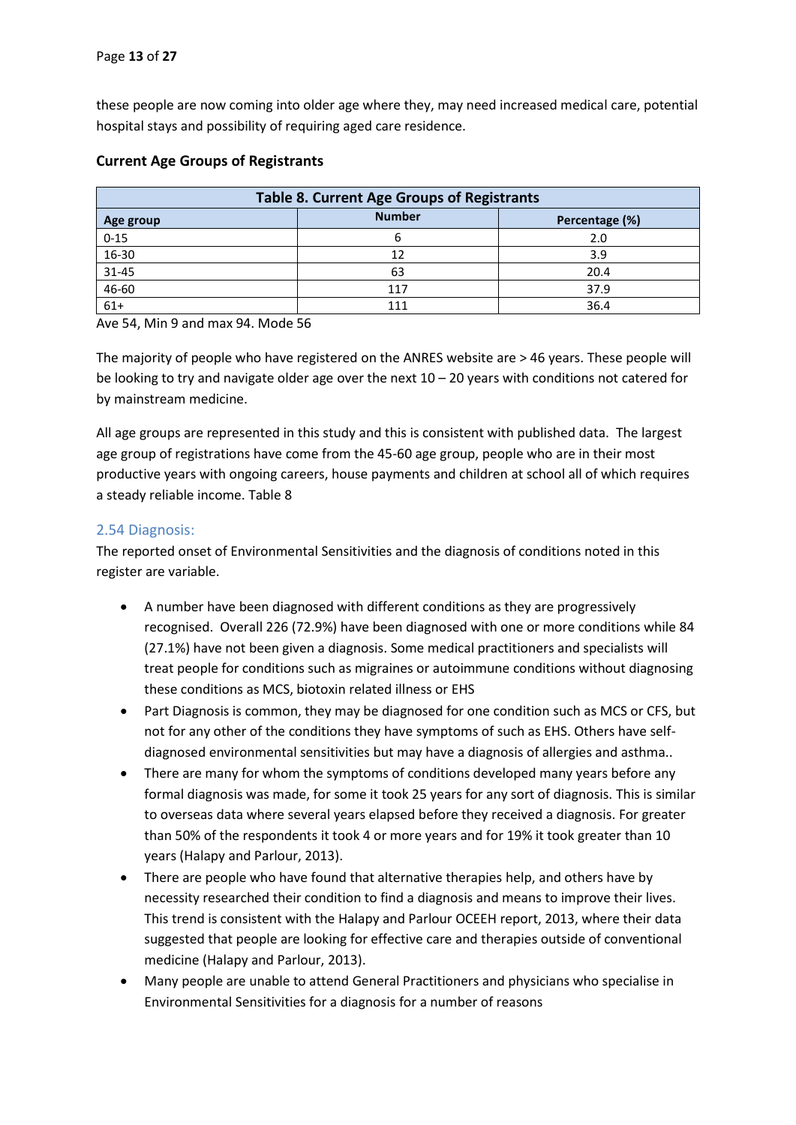these people are now coming into older age where they, may need increased medical care, potential hospital stays and possibility of requiring aged care residence.

| <b>Table 8. Current Age Groups of Registrants</b> |     |      |  |  |
|---------------------------------------------------|-----|------|--|--|
| <b>Number</b><br>Percentage (%)<br>Age group      |     |      |  |  |
| $0 - 15$                                          |     | 2.0  |  |  |
| 16-30                                             | 12  | 3.9  |  |  |
| 31-45                                             | 63  | 20.4 |  |  |
| 46-60                                             | 117 | 37.9 |  |  |
| $61+$                                             |     | 36.4 |  |  |

#### **Current Age Groups of Registrants**

Ave 54, Min 9 and max 94. Mode 56

The majority of people who have registered on the ANRES website are > 46 years. These people will be looking to try and navigate older age over the next 10 – 20 years with conditions not catered for by mainstream medicine.

All age groups are represented in this study and this is consistent with published data. The largest age group of registrations have come from the 45-60 age group, people who are in their most productive years with ongoing careers, house payments and children at school all of which requires a steady reliable income. Table 8

#### <span id="page-12-0"></span>2.54 Diagnosis:

The reported onset of Environmental Sensitivities and the diagnosis of conditions noted in this register are variable.

- A number have been diagnosed with different conditions as they are progressively recognised. Overall 226 (72.9%) have been diagnosed with one or more conditions while 84 (27.1%) have not been given a diagnosis. Some medical practitioners and specialists will treat people for conditions such as migraines or autoimmune conditions without diagnosing these conditions as MCS, biotoxin related illness or EHS
- Part Diagnosis is common, they may be diagnosed for one condition such as MCS or CFS, but not for any other of the conditions they have symptoms of such as EHS. Others have selfdiagnosed environmental sensitivities but may have a diagnosis of allergies and asthma..
- There are many for whom the symptoms of conditions developed many years before any formal diagnosis was made, for some it took 25 years for any sort of diagnosis. This is similar to overseas data where several years elapsed before they received a diagnosis. For greater than 50% of the respondents it took 4 or more years and for 19% it took greater than 10 years (Halapy and Parlour, 2013).
- There are people who have found that alternative therapies help, and others have by necessity researched their condition to find a diagnosis and means to improve their lives. This trend is consistent with the Halapy and Parlour OCEEH report, 2013, where their data suggested that people are looking for effective care and therapies outside of conventional medicine (Halapy and Parlour, 2013).
- Many people are unable to attend General Practitioners and physicians who specialise in Environmental Sensitivities for a diagnosis for a number of reasons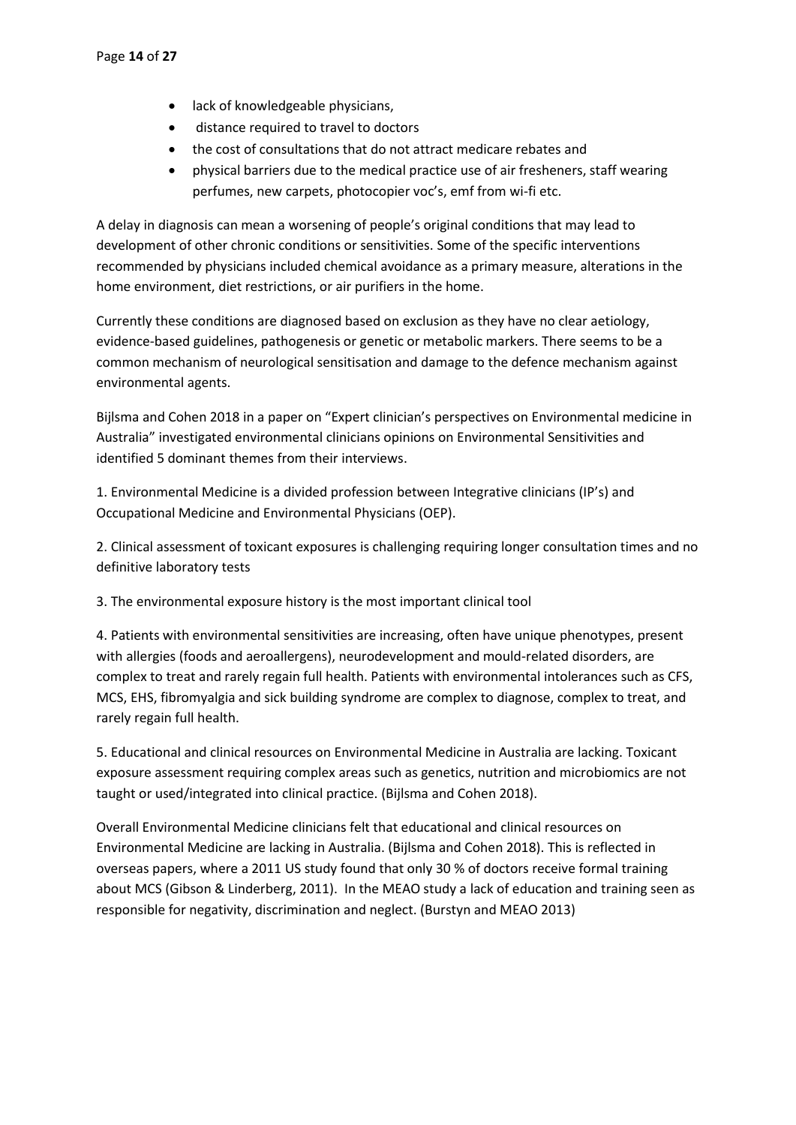- lack of knowledgeable physicians,
- distance required to travel to doctors
- the cost of consultations that do not attract medicare rebates and
- physical barriers due to the medical practice use of air fresheners, staff wearing perfumes, new carpets, photocopier voc's, emf from wi-fi etc.

A delay in diagnosis can mean a worsening of people's original conditions that may lead to development of other chronic conditions or sensitivities. Some of the specific interventions recommended by physicians included chemical avoidance as a primary measure, alterations in the home environment, diet restrictions, or air purifiers in the home.

Currently these conditions are diagnosed based on exclusion as they have no clear aetiology, evidence-based guidelines, pathogenesis or genetic or metabolic markers. There seems to be a common mechanism of neurological sensitisation and damage to the defence mechanism against environmental agents.

Bijlsma and Cohen 2018 in a paper on "Expert clinician's perspectives on Environmental medicine in Australia" investigated environmental clinicians opinions on Environmental Sensitivities and identified 5 dominant themes from their interviews.

1. Environmental Medicine is a divided profession between Integrative clinicians (IP's) and Occupational Medicine and Environmental Physicians (OEP).

2. Clinical assessment of toxicant exposures is challenging requiring longer consultation times and no definitive laboratory tests

3. The environmental exposure history is the most important clinical tool

4. Patients with environmental sensitivities are increasing, often have unique phenotypes, present with allergies (foods and aeroallergens), neurodevelopment and mould-related disorders, are complex to treat and rarely regain full health. Patients with environmental intolerances such as CFS, MCS, EHS, fibromyalgia and sick building syndrome are complex to diagnose, complex to treat, and rarely regain full health.

5. Educational and clinical resources on Environmental Medicine in Australia are lacking. Toxicant exposure assessment requiring complex areas such as genetics, nutrition and microbiomics are not taught or used/integrated into clinical practice. (Bijlsma and Cohen 2018).

Overall Environmental Medicine clinicians felt that educational and clinical resources on Environmental Medicine are lacking in Australia. (Bijlsma and Cohen 2018). This is reflected in overseas papers, where a 2011 US study found that only 30 % of doctors receive formal training about MCS (Gibson & Linderberg, 2011). In the MEAO study a lack of education and training seen as responsible for negativity, discrimination and neglect. (Burstyn and MEAO 2013)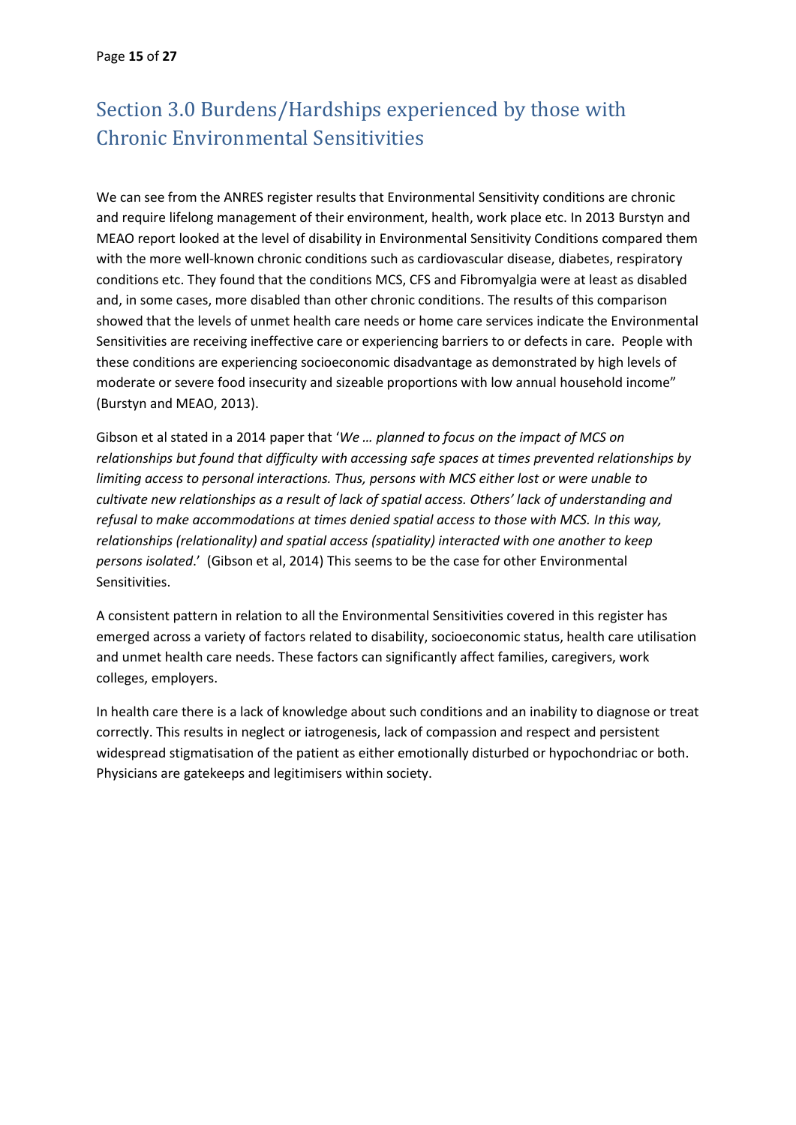# <span id="page-14-0"></span>Section 3.0 Burdens/Hardships experienced by those with Chronic Environmental Sensitivities

We can see from the ANRES register results that Environmental Sensitivity conditions are chronic and require lifelong management of their environment, health, work place etc. In 2013 Burstyn and MEAO report looked at the level of disability in Environmental Sensitivity Conditions compared them with the more well-known chronic conditions such as cardiovascular disease, diabetes, respiratory conditions etc. They found that the conditions MCS, CFS and Fibromyalgia were at least as disabled and, in some cases, more disabled than other chronic conditions. The results of this comparison showed that the levels of unmet health care needs or home care services indicate the Environmental Sensitivities are receiving ineffective care or experiencing barriers to or defects in care. People with these conditions are experiencing socioeconomic disadvantage as demonstrated by high levels of moderate or severe food insecurity and sizeable proportions with low annual household income" (Burstyn and MEAO, 2013).

Gibson et al stated in a 2014 paper that '*We … planned to focus on the impact of MCS on relationships but found that difficulty with accessing safe spaces at times prevented relationships by limiting access to personal interactions. Thus, persons with MCS either lost or were unable to cultivate new relationships as a result of lack of spatial access. Others' lack of understanding and refusal to make accommodations at times denied spatial access to those with MCS. In this way, relationships (relationality) and spatial access (spatiality) interacted with one another to keep persons isolated*.' (Gibson et al, 2014) This seems to be the case for other Environmental Sensitivities.

A consistent pattern in relation to all the Environmental Sensitivities covered in this register has emerged across a variety of factors related to disability, socioeconomic status, health care utilisation and unmet health care needs. These factors can significantly affect families, caregivers, work colleges, employers.

In health care there is a lack of knowledge about such conditions and an inability to diagnose or treat correctly. This results in neglect or iatrogenesis, lack of compassion and respect and persistent widespread stigmatisation of the patient as either emotionally disturbed or hypochondriac or both. Physicians are gatekeeps and legitimisers within society.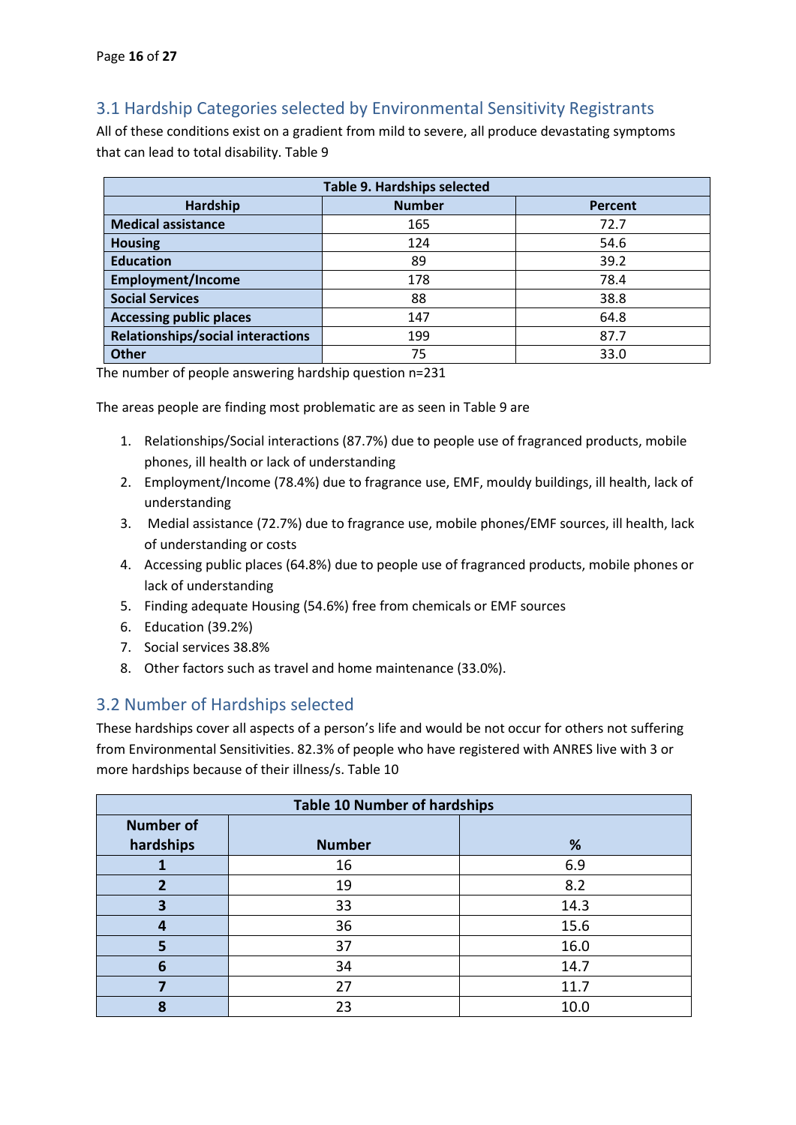## <span id="page-15-0"></span>3.1 Hardship Categories selected by Environmental Sensitivity Registrants

All of these conditions exist on a gradient from mild to severe, all produce devastating symptoms that can lead to total disability. Table 9

| <b>Table 9. Hardships selected</b>       |               |         |  |
|------------------------------------------|---------------|---------|--|
| Hardship                                 | <b>Number</b> | Percent |  |
| <b>Medical assistance</b>                | 165           | 72.7    |  |
| <b>Housing</b>                           | 124           | 54.6    |  |
| <b>Education</b>                         | 89            | 39.2    |  |
| <b>Employment/Income</b>                 | 178           | 78.4    |  |
| <b>Social Services</b>                   | 88            | 38.8    |  |
| <b>Accessing public places</b>           | 147           | 64.8    |  |
| <b>Relationships/social interactions</b> | 199           | 87.7    |  |
| <b>Other</b>                             | 75            | 33.0    |  |

The number of people answering hardship question n=231

The areas people are finding most problematic are as seen in Table 9 are

- 1. Relationships/Social interactions (87.7%) due to people use of fragranced products, mobile phones, ill health or lack of understanding
- 2. Employment/Income (78.4%) due to fragrance use, EMF, mouldy buildings, ill health, lack of understanding
- 3. Medial assistance (72.7%) due to fragrance use, mobile phones/EMF sources, ill health, lack of understanding or costs
- 4. Accessing public places (64.8%) due to people use of fragranced products, mobile phones or lack of understanding
- 5. Finding adequate Housing (54.6%) free from chemicals or EMF sources
- 6. Education (39.2%)
- 7. Social services 38.8%
- 8. Other factors such as travel and home maintenance (33.0%).

### <span id="page-15-1"></span>3.2 Number of Hardships selected

These hardships cover all aspects of a person's life and would be not occur for others not suffering from Environmental Sensitivities. 82.3% of people who have registered with ANRES live with 3 or more hardships because of their illness/s. Table 10

| <b>Table 10 Number of hardships</b> |               |      |  |
|-------------------------------------|---------------|------|--|
| <b>Number of</b>                    |               |      |  |
| hardships                           | <b>Number</b> | %    |  |
|                                     | 16            | 6.9  |  |
| 2                                   | 19            | 8.2  |  |
| 3                                   | 33            | 14.3 |  |
| 4                                   | 36            | 15.6 |  |
| 5                                   | 37            | 16.0 |  |
| 6                                   | 34            | 14.7 |  |
|                                     | 27            | 11.7 |  |
| 8                                   | 23            | 10.0 |  |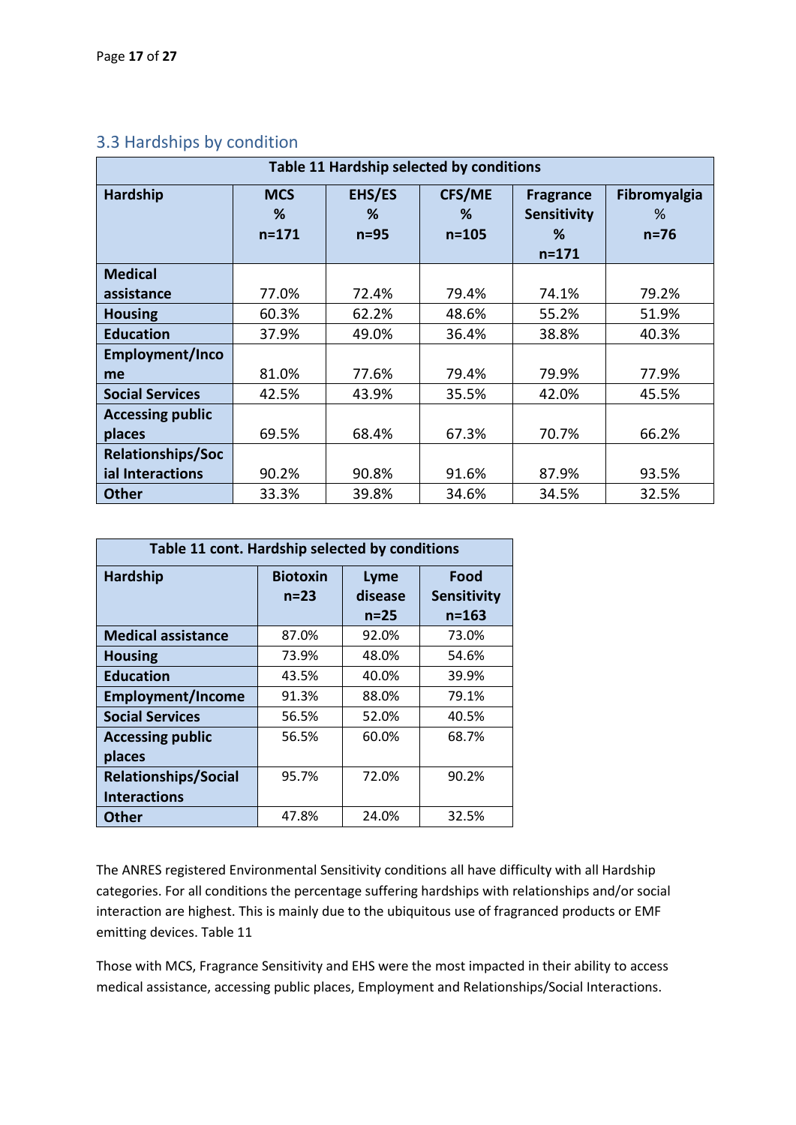| Table 11 Hardship selected by conditions |                              |                       |                                 |                                                          |                               |  |
|------------------------------------------|------------------------------|-----------------------|---------------------------------|----------------------------------------------------------|-------------------------------|--|
| Hardship                                 | <b>MCS</b><br>%<br>$n = 171$ | EHS/ES<br>%<br>$n=95$ | <b>CFS/ME</b><br>℅<br>$n = 105$ | <b>Fragrance</b><br><b>Sensitivity</b><br>℅<br>$n = 171$ | Fibromyalgia<br>℅<br>$n = 76$ |  |
| <b>Medical</b>                           |                              |                       |                                 |                                                          |                               |  |
| assistance                               | 77.0%                        | 72.4%                 | 79.4%                           | 74.1%                                                    | 79.2%                         |  |
| <b>Housing</b>                           | 60.3%                        | 62.2%                 | 48.6%                           | 55.2%                                                    | 51.9%                         |  |
| <b>Education</b>                         | 37.9%                        | 49.0%                 | 36.4%                           | 38.8%                                                    | 40.3%                         |  |
| Employment/Inco                          |                              |                       |                                 |                                                          |                               |  |
| me                                       | 81.0%                        | 77.6%                 | 79.4%                           | 79.9%                                                    | 77.9%                         |  |
| <b>Social Services</b>                   | 42.5%                        | 43.9%                 | 35.5%                           | 42.0%                                                    | 45.5%                         |  |
| <b>Accessing public</b>                  |                              |                       |                                 |                                                          |                               |  |
| places                                   | 69.5%                        | 68.4%                 | 67.3%                           | 70.7%                                                    | 66.2%                         |  |
| <b>Relationships/Soc</b>                 |                              |                       |                                 |                                                          |                               |  |
| ial Interactions                         | 90.2%                        | 90.8%                 | 91.6%                           | 87.9%                                                    | 93.5%                         |  |
| <b>Other</b>                             | 33.3%                        | 39.8%                 | 34.6%                           | 34.5%                                                    | 32.5%                         |  |

## <span id="page-16-0"></span>3.3 Hardships by condition

| Table 11 cont. Hardship selected by conditions     |                           |                             |                                         |  |  |  |
|----------------------------------------------------|---------------------------|-----------------------------|-----------------------------------------|--|--|--|
| <b>Hardship</b>                                    | <b>Biotoxin</b><br>$n=23$ | Lyme<br>disease<br>$n = 25$ | Food<br><b>Sensitivity</b><br>$n = 163$ |  |  |  |
| <b>Medical assistance</b>                          | 87.0%                     | 92.0%                       | 73.0%                                   |  |  |  |
| <b>Housing</b>                                     | 73.9%                     | 48.0%                       | 54.6%                                   |  |  |  |
| <b>Education</b>                                   | 43.5%                     | 40.0%                       | 39.9%                                   |  |  |  |
| <b>Employment/Income</b>                           | 91.3%                     | 88.0%                       | 79.1%                                   |  |  |  |
| <b>Social Services</b>                             | 56.5%                     | 52.0%                       | 40.5%                                   |  |  |  |
| <b>Accessing public</b>                            | 56.5%                     | 60.0%                       | 68.7%                                   |  |  |  |
| places                                             |                           |                             |                                         |  |  |  |
| <b>Relationships/Social</b><br><b>Interactions</b> | 95.7%                     | 72.0%                       | 90.2%                                   |  |  |  |
| <b>Other</b>                                       | 47.8%                     | 24.0%                       | 32.5%                                   |  |  |  |

The ANRES registered Environmental Sensitivity conditions all have difficulty with all Hardship categories. For all conditions the percentage suffering hardships with relationships and/or social interaction are highest. This is mainly due to the ubiquitous use of fragranced products or EMF emitting devices. Table 11

Those with MCS, Fragrance Sensitivity and EHS were the most impacted in their ability to access medical assistance, accessing public places, Employment and Relationships/Social Interactions.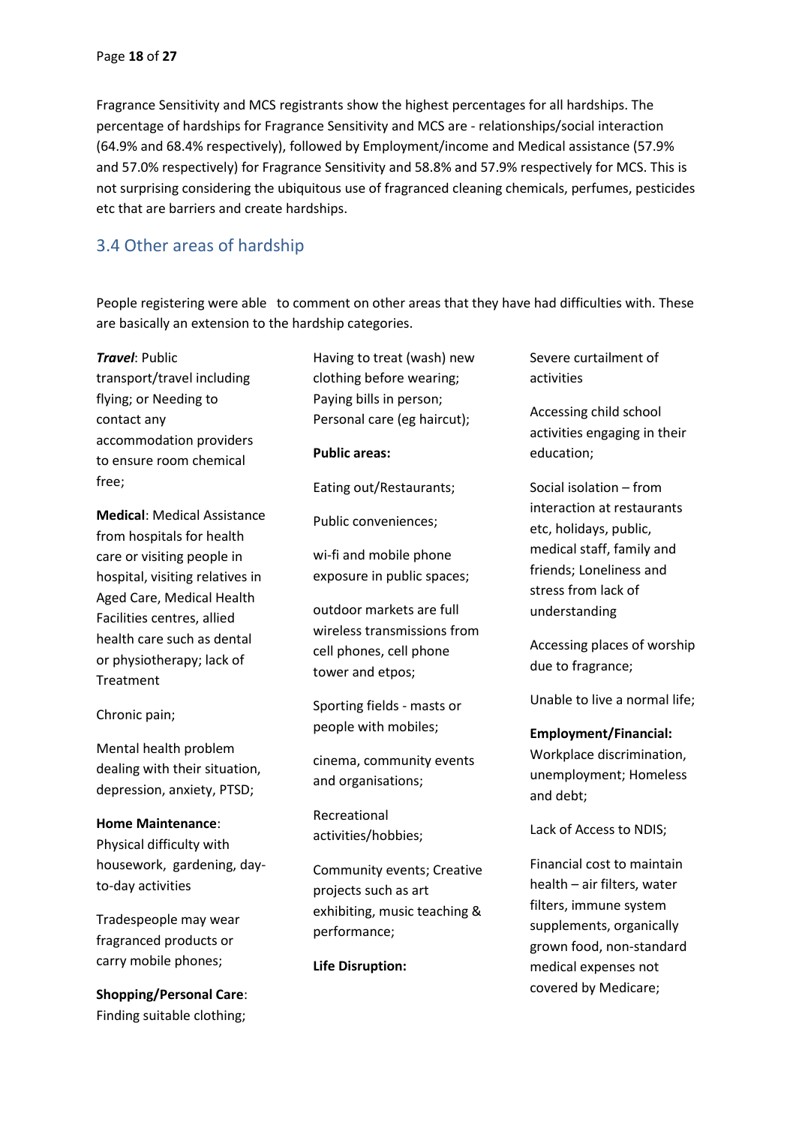Fragrance Sensitivity and MCS registrants show the highest percentages for all hardships. The percentage of hardships for Fragrance Sensitivity and MCS are - relationships/social interaction (64.9% and 68.4% respectively), followed by Employment/income and Medical assistance (57.9% and 57.0% respectively) for Fragrance Sensitivity and 58.8% and 57.9% respectively for MCS. This is not surprising considering the ubiquitous use of fragranced cleaning chemicals, perfumes, pesticides etc that are barriers and create hardships.

## <span id="page-17-0"></span>3.4 Other areas of hardship

People registering were able to comment on other areas that they have had difficulties with. These are basically an extension to the hardship categories.

*Travel*: Public transport/travel including flying; or Needing to contact any accommodation providers to ensure room chemical free;

**Medical**: Medical Assistance from hospitals for health care or visiting people in hospital, visiting relatives in Aged Care, Medical Health Facilities centres, allied health care such as dental or physiotherapy; lack of Treatment

Chronic pain;

Mental health problem dealing with their situation, depression, anxiety, PTSD;

#### **Home Maintenance**:

Physical difficulty with housework, gardening, dayto-day activities

Tradespeople may wear fragranced products or carry mobile phones;

**Shopping/Personal Care**: Finding suitable clothing;

Having to treat (wash) new clothing before wearing; Paying bills in person; Personal care (eg haircut); **Public areas:** Eating out/Restaurants; Public conveniences; wi-fi and mobile phone exposure in public spaces; outdoor markets are full wireless transmissions from cell phones, cell phone tower and etpos; Sporting fields - masts or people with mobiles; cinema, community events and organisations;

Recreational activities/hobbies;

Community events; Creative projects such as art exhibiting, music teaching & performance;

**Life Disruption:**

Severe curtailment of activities

Accessing child school activities engaging in their education;

Social isolation – from interaction at restaurants etc, holidays, public, medical staff, family and friends; Loneliness and stress from lack of understanding

Accessing places of worship due to fragrance;

Unable to live a normal life;

#### **Employment/Financial:**

Workplace discrimination, unemployment; Homeless and debt;

Lack of Access to NDIS;

Financial cost to maintain health – air filters, water filters, immune system supplements, organically grown food, non-standard medical expenses not covered by Medicare;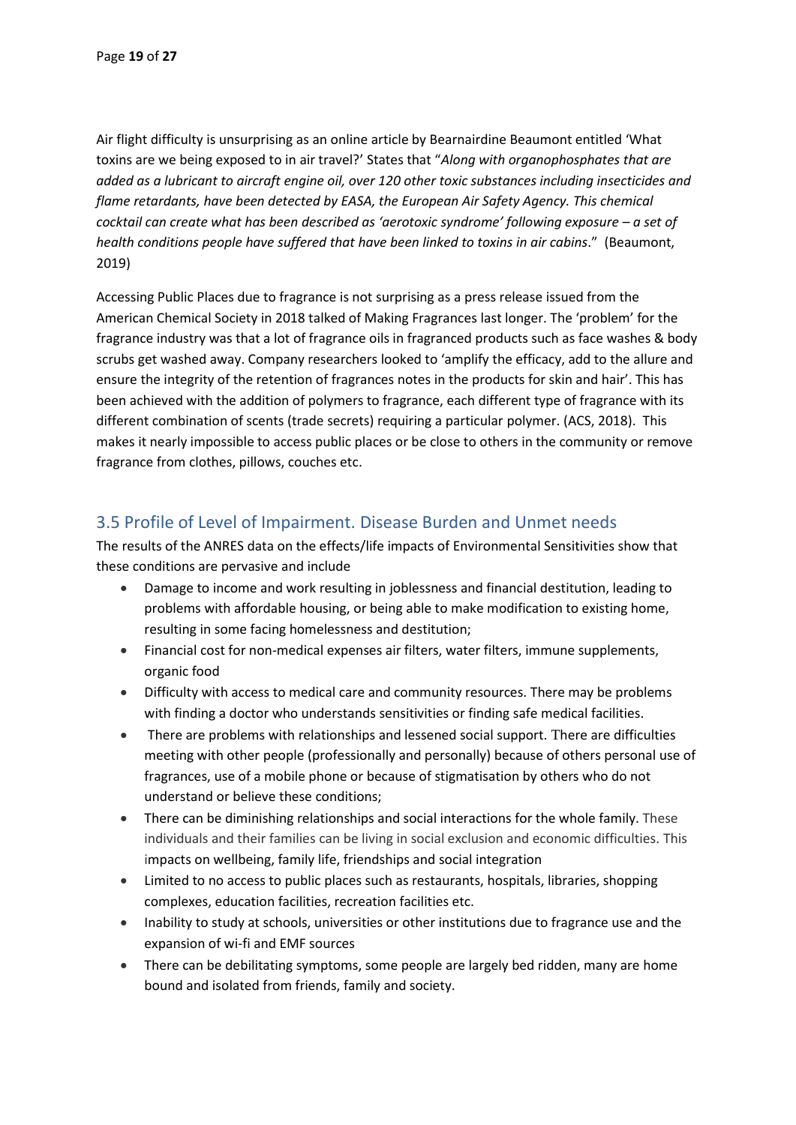Air flight difficulty is unsurprising as an online article by Bearnairdine Beaumont entitled 'What toxins are we being exposed to in air travel?' States that "*Along with organophosphates that are added as a lubricant to aircraft engine oil, over 120 other toxic substances including insecticides and flame retardants, have been detected by EASA, the European Air Safety Agency. This chemical cocktail can create what has been described as 'aerotoxic syndrome' following exposure – a set of health conditions people have suffered that have been linked to toxins in air cabins*." (Beaumont, 2019)

Accessing Public Places due to fragrance is not surprising as a press release issued from the American Chemical Society in 2018 talked of Making Fragrances last longer. The 'problem' for the fragrance industry was that a lot of fragrance oils in fragranced products such as face washes & body scrubs get washed away. Company researchers looked to 'amplify the efficacy, add to the allure and ensure the integrity of the retention of fragrances notes in the products for skin and hair'. This has been achieved with the addition of polymers to fragrance, each different type of fragrance with its different combination of scents (trade secrets) requiring a particular polymer. (ACS, 2018). This makes it nearly impossible to access public places or be close to others in the community or remove fragrance from clothes, pillows, couches etc.

## <span id="page-18-0"></span>3.5 Profile of Level of Impairment. Disease Burden and Unmet needs

The results of the ANRES data on the effects/life impacts of Environmental Sensitivities show that these conditions are pervasive and include

- Damage to income and work resulting in joblessness and financial destitution, leading to problems with affordable housing, or being able to make modification to existing home, resulting in some facing homelessness and destitution;
- Financial cost for non-medical expenses air filters, water filters, immune supplements, organic food
- Difficulty with access to medical care and community resources. There may be problems with finding a doctor who understands sensitivities or finding safe medical facilities.
- There are problems with relationships and lessened social support. There are difficulties meeting with other people (professionally and personally) because of others personal use of fragrances, use of a mobile phone or because of stigmatisation by others who do not understand or believe these conditions;
- There can be diminishing relationships and social interactions for the whole family. These individuals and their families can be living in social exclusion and economic difficulties. This impacts on wellbeing, family life, friendships and social integration
- Limited to no access to public places such as restaurants, hospitals, libraries, shopping complexes, education facilities, recreation facilities etc.
- Inability to study at schools, universities or other institutions due to fragrance use and the expansion of wi-fi and EMF sources
- There can be debilitating symptoms, some people are largely bed ridden, many are home bound and isolated from friends, family and society.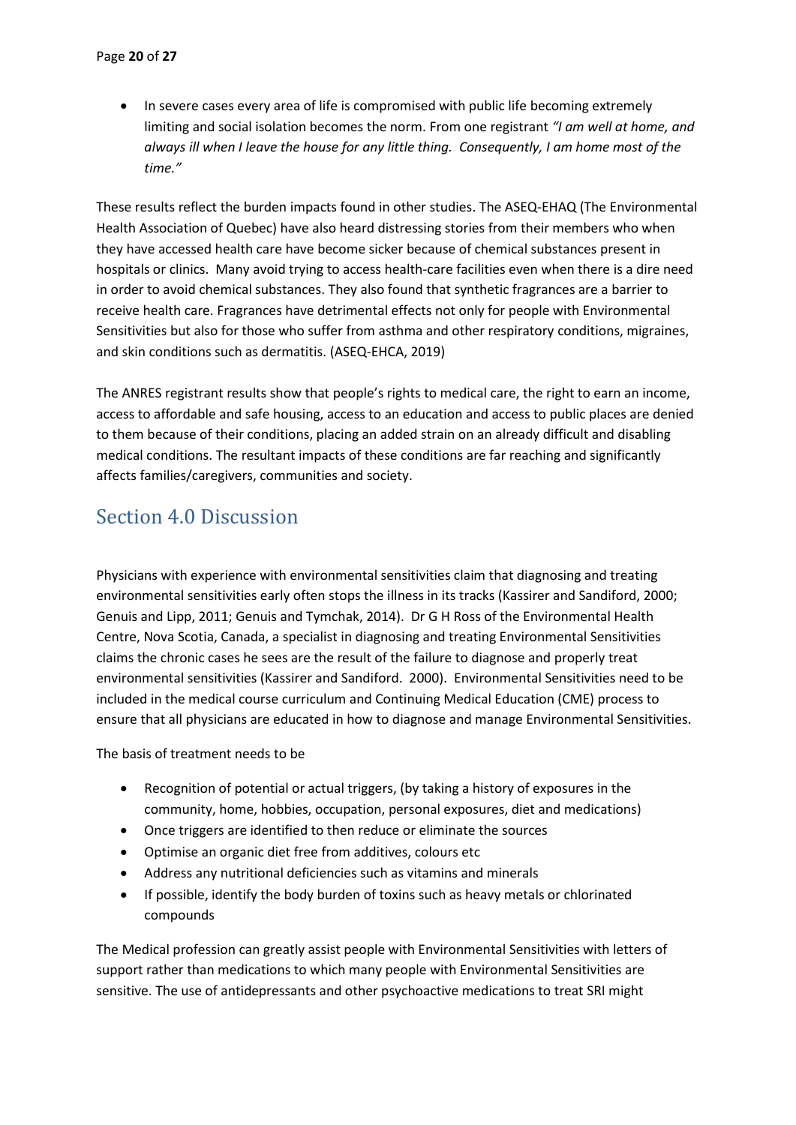• In severe cases every area of life is compromised with public life becoming extremely limiting and social isolation becomes the norm. From one registrant *"I am well at home, and always ill when I leave the house for any little thing. Consequently, I am home most of the time."*

These results reflect the burden impacts found in other studies. The ASEQ-EHAQ (The Environmental Health Association of Quebec) have also heard distressing stories from their members who when they have accessed health care have become sicker because of chemical substances present in hospitals or clinics. Many avoid trying to access health-care facilities even when there is a dire need in order to avoid chemical substances. They also found that synthetic fragrances are a barrier to receive health care. Fragrances have detrimental effects not only for people with Environmental Sensitivities but also for those who suffer from asthma and other respiratory conditions, migraines, and skin conditions such as dermatitis. (ASEQ-EHCA, 2019)

The ANRES registrant results show that people's rights to medical care, the right to earn an income, access to affordable and safe housing, access to an education and access to public places are denied to them because of their conditions, placing an added strain on an already difficult and disabling medical conditions. The resultant impacts of these conditions are far reaching and significantly affects families/caregivers, communities and society.

# <span id="page-19-0"></span>Section 4.0 Discussion

Physicians with experience with environmental sensitivities claim that diagnosing and treating environmental sensitivities early often stops the illness in its tracks (Kassirer and Sandiford, 2000; Genuis and Lipp, 2011; Genuis and Tymchak, 2014). Dr G H Ross of the Environmental Health Centre, Nova Scotia, Canada, a specialist in diagnosing and treating Environmental Sensitivities claims the chronic cases he sees are the result of the failure to diagnose and properly treat environmental sensitivities (Kassirer and Sandiford. 2000). Environmental Sensitivities need to be included in the medical course curriculum and Continuing Medical Education (CME) process to ensure that all physicians are educated in how to diagnose and manage Environmental Sensitivities.

The basis of treatment needs to be

- Recognition of potential or actual triggers, (by taking a history of exposures in the community, home, hobbies, occupation, personal exposures, diet and medications)
- Once triggers are identified to then reduce or eliminate the sources
- Optimise an organic diet free from additives, colours etc
- Address any nutritional deficiencies such as vitamins and minerals
- If possible, identify the body burden of toxins such as heavy metals or chlorinated compounds

The Medical profession can greatly assist people with Environmental Sensitivities with letters of support rather than medications to which many people with Environmental Sensitivities are sensitive. The use of antidepressants and other psychoactive medications to treat SRI might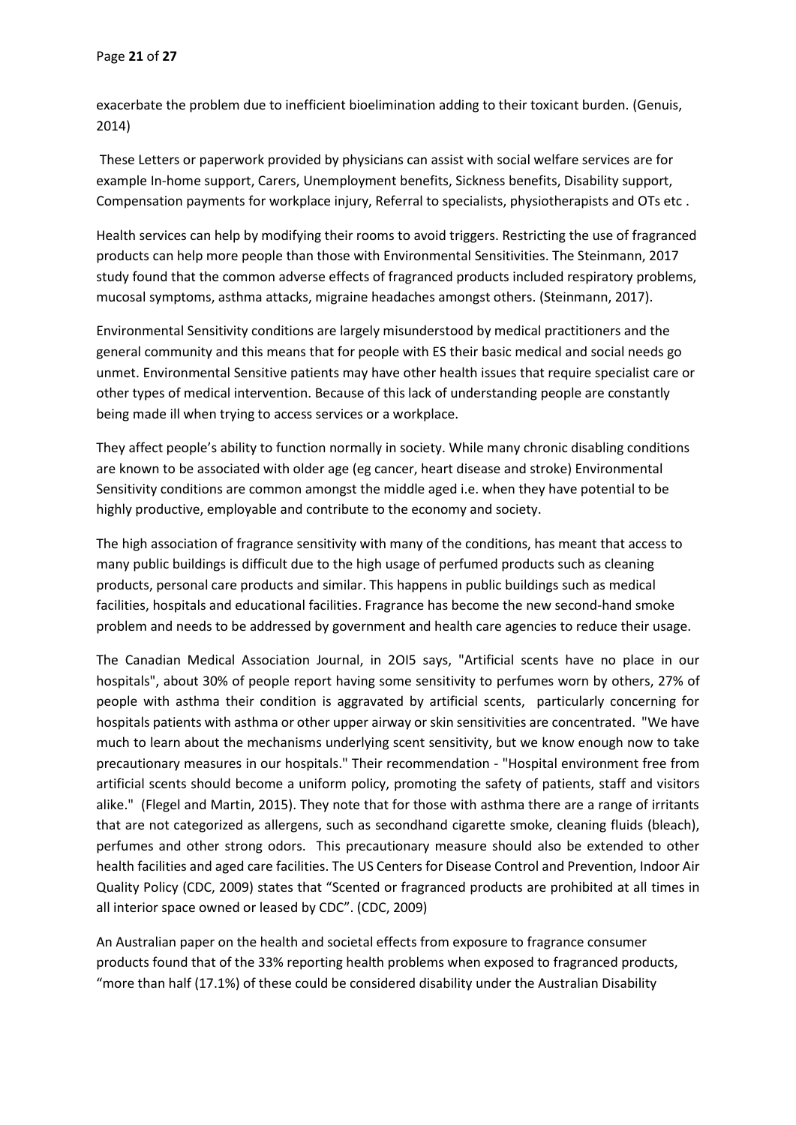exacerbate the problem due to inefficient bioelimination adding to their toxicant burden. (Genuis, 2014)

These Letters or paperwork provided by physicians can assist with social welfare services are for example In-home support, Carers, Unemployment benefits, Sickness benefits, Disability support, Compensation payments for workplace injury, Referral to specialists, physiotherapists and OTs etc .

Health services can help by modifying their rooms to avoid triggers. Restricting the use of fragranced products can help more people than those with Environmental Sensitivities. The Steinmann, 2017 study found that the common adverse effects of fragranced products included respiratory problems, mucosal symptoms, asthma attacks, migraine headaches amongst others. (Steinmann, 2017).

Environmental Sensitivity conditions are largely misunderstood by medical practitioners and the general community and this means that for people with ES their basic medical and social needs go unmet. Environmental Sensitive patients may have other health issues that require specialist care or other types of medical intervention. Because of this lack of understanding people are constantly being made ill when trying to access services or a workplace.

They affect people's ability to function normally in society. While many chronic disabling conditions are known to be associated with older age (eg cancer, heart disease and stroke) Environmental Sensitivity conditions are common amongst the middle aged i.e. when they have potential to be highly productive, employable and contribute to the economy and society.

The high association of fragrance sensitivity with many of the conditions, has meant that access to many public buildings is difficult due to the high usage of perfumed products such as cleaning products, personal care products and similar. This happens in public buildings such as medical facilities, hospitals and educational facilities. Fragrance has become the new second-hand smoke problem and needs to be addressed by government and health care agencies to reduce their usage.

The Canadian Medical Association Journal, in 2OI5 says, "Artificial scents have no place in our hospitals", about 30% of people report having some sensitivity to perfumes worn by others, 27% of people with asthma their condition is aggravated by artificial scents, particularly concerning for hospitals patients with asthma or other upper airway or skin sensitivities are concentrated. "We have much to learn about the mechanisms underlying scent sensitivity, but we know enough now to take precautionary measures in our hospitals." Their recommendation - "Hospital environment free from artificial scents should become a uniform policy, promoting the safety of patients, staff and visitors alike." (Flegel and Martin, 2015). They note that for those with asthma there are a range of irritants that are not categorized as allergens, such as secondhand cigarette smoke, cleaning fluids (bleach), perfumes and other strong odors. This precautionary measure should also be extended to other health facilities and aged care facilities. The US Centers for Disease Control and Prevention, Indoor Air Quality Policy (CDC, 2009) states that "Scented or fragranced products are prohibited at all times in all interior space owned or leased by CDC". (CDC, 2009)

An Australian paper on the health and societal effects from exposure to fragrance consumer products found that of the 33% reporting health problems when exposed to fragranced products, "more than half (17.1%) of these could be considered disability under the Australian Disability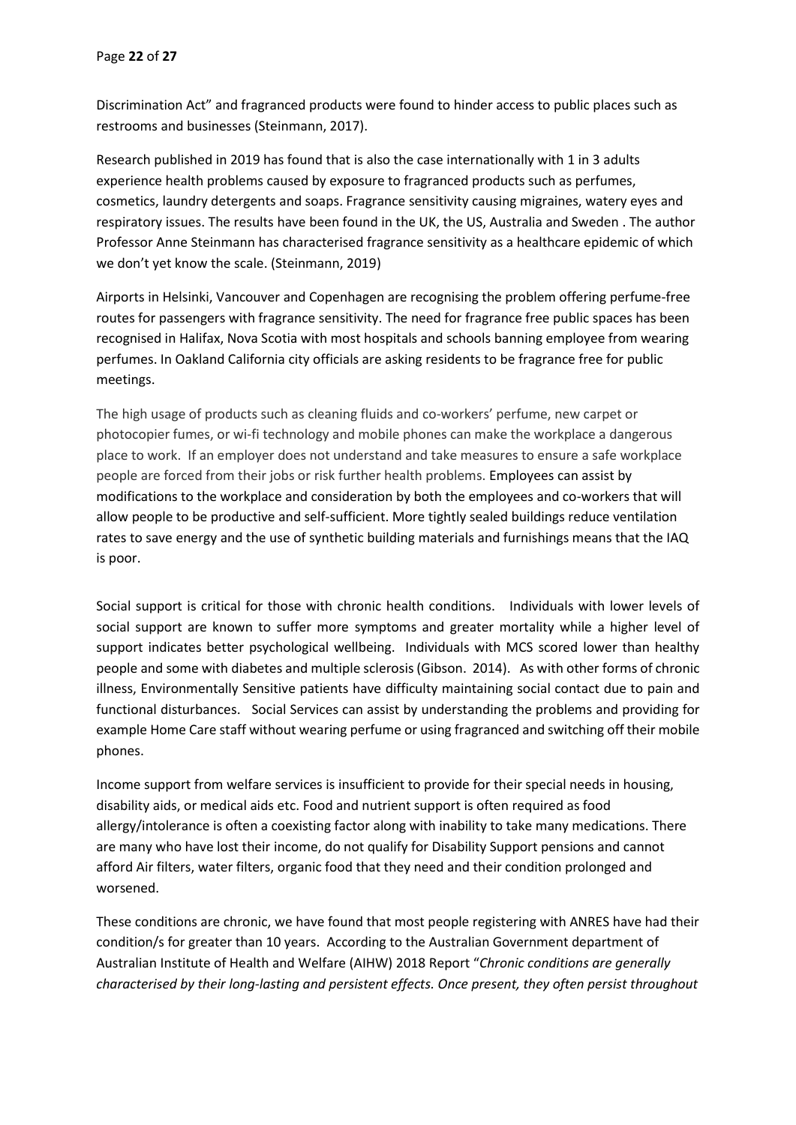Discrimination Act" and fragranced products were found to hinder access to public places such as restrooms and businesses (Steinmann, 2017).

Research published in 2019 has found that is also the case internationally with 1 in 3 adults experience health problems caused by exposure to fragranced products such as perfumes, cosmetics, laundry detergents and soaps. Fragrance sensitivity causing migraines, watery eyes and respiratory issues. The results have been found in the UK, the US, Australia and Sweden . The author Professor Anne Steinmann has characterised fragrance sensitivity as a healthcare epidemic of which we don't yet know the scale. (Steinmann, 2019)

Airports in Helsinki, Vancouver and Copenhagen are recognising the problem offering perfume-free routes for passengers with fragrance sensitivity. The need for fragrance free public spaces has been recognised in Halifax, Nova Scotia with most hospitals and schools banning employee from wearing perfumes. In Oakland California city officials are asking residents to be fragrance free for public meetings.

The high usage of products such as cleaning fluids and co-workers' perfume, new carpet or photocopier fumes, or wi-fi technology and mobile phones can make the workplace a dangerous place to work. If an employer does not understand and take measures to ensure a safe workplace people are forced from their jobs or risk further health problems. Employees can assist by modifications to the workplace and consideration by both the employees and co-workers that will allow people to be productive and self-sufficient. More tightly sealed buildings reduce ventilation rates to save energy and the use of synthetic building materials and furnishings means that the IAQ is poor.

Social support is critical for those with chronic health conditions. Individuals with lower levels of social support are known to suffer more symptoms and greater mortality while a higher level of support indicates better psychological wellbeing. Individuals with MCS scored lower than healthy people and some with diabetes and multiple sclerosis (Gibson. 2014). As with other forms of chronic illness, Environmentally Sensitive patients have difficulty maintaining social contact due to pain and functional disturbances. Social Services can assist by understanding the problems and providing for example Home Care staff without wearing perfume or using fragranced and switching off their mobile phones.

Income support from welfare services is insufficient to provide for their special needs in housing, disability aids, or medical aids etc. Food and nutrient support is often required as food allergy/intolerance is often a coexisting factor along with inability to take many medications. There are many who have lost their income, do not qualify for Disability Support pensions and cannot afford Air filters, water filters, organic food that they need and their condition prolonged and worsened.

These conditions are chronic, we have found that most people registering with ANRES have had their condition/s for greater than 10 years. According to the Australian Government department of Australian Institute of Health and Welfare (AIHW) 2018 Report "*Chronic conditions are generally characterised by their long-lasting and persistent effects. Once present, they often persist throughout*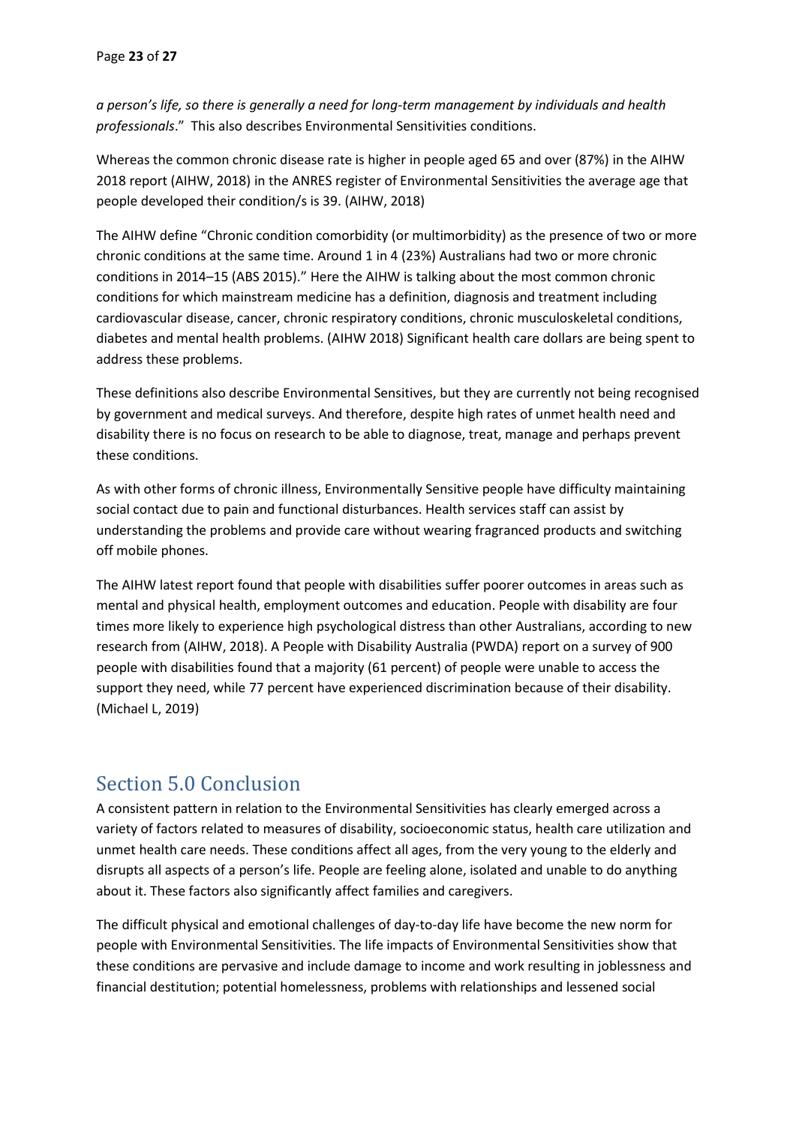*a person's life, so there is generally a need for long-term management by individuals and health professionals*." This also describes Environmental Sensitivities conditions.

Whereas the common chronic disease rate is higher in people aged 65 and over (87%) in the AIHW 2018 report (AIHW, 2018) in the ANRES register of Environmental Sensitivities the average age that people developed their condition/s is 39. (AIHW, 2018)

The AIHW define "Chronic condition comorbidity (or multimorbidity) as the presence of two or more chronic conditions at the same time. Around 1 in 4 (23%) Australians had two or more chronic conditions in 2014–15 (ABS 2015)." Here the AIHW is talking about the most common chronic conditions for which mainstream medicine has a definition, diagnosis and treatment including cardiovascular disease, cancer, chronic respiratory conditions, chronic musculoskeletal conditions, diabetes and mental health problems. (AIHW 2018) Significant health care dollars are being spent to address these problems.

These definitions also describe Environmental Sensitives, but they are currently not being recognised by government and medical surveys. And therefore, despite high rates of unmet health need and disability there is no focus on research to be able to diagnose, treat, manage and perhaps prevent these conditions.

As with other forms of chronic illness, Environmentally Sensitive people have difficulty maintaining social contact due to pain and functional disturbances. Health services staff can assist by understanding the problems and provide care without wearing fragranced products and switching off mobile phones.

The AIHW latest report found that people with disabilities suffer poorer outcomes in areas such as mental and physical health, employment outcomes and education. People with disability are four times more likely to experience high psychological distress than other Australians, according to new research from (AIHW, 2018). A People with Disability Australia (PWDA) report on a survey of 900 people with disabilities found that a majority (61 percent) of people were unable to access the support they need, while 77 percent have experienced discrimination because of their disability. (Michael L, 2019)

# <span id="page-22-0"></span>Section 5.0 Conclusion

A consistent pattern in relation to the Environmental Sensitivities has clearly emerged across a variety of factors related to measures of disability, socioeconomic status, health care utilization and unmet health care needs. These conditions affect all ages, from the very young to the elderly and disrupts all aspects of a person's life. People are feeling alone, isolated and unable to do anything about it. These factors also significantly affect families and caregivers.

The difficult physical and emotional challenges of day-to-day life have become the new norm for people with Environmental Sensitivities. The life impacts of Environmental Sensitivities show that these conditions are pervasive and include damage to income and work resulting in joblessness and financial destitution; potential homelessness, problems with relationships and lessened social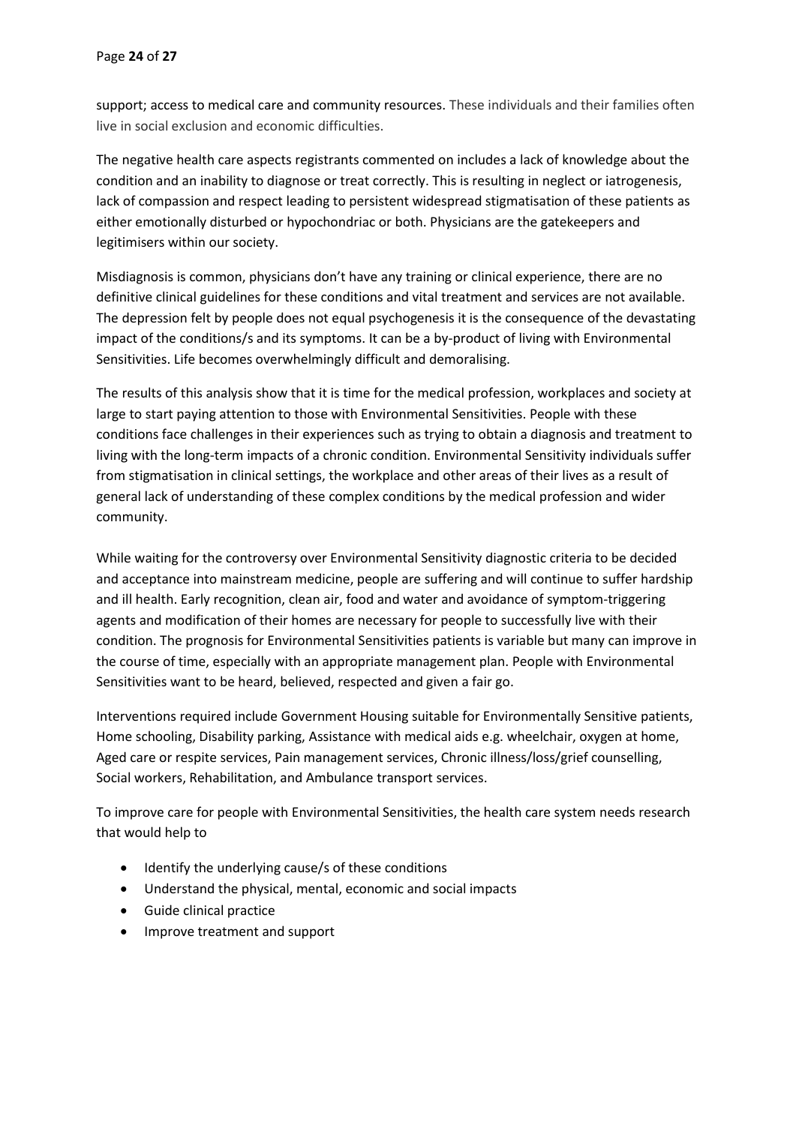support; access to medical care and community resources. These individuals and their families often live in social exclusion and economic difficulties.

The negative health care aspects registrants commented on includes a lack of knowledge about the condition and an inability to diagnose or treat correctly. This is resulting in neglect or iatrogenesis, lack of compassion and respect leading to persistent widespread stigmatisation of these patients as either emotionally disturbed or hypochondriac or both. Physicians are the gatekeepers and legitimisers within our society.

Misdiagnosis is common, physicians don't have any training or clinical experience, there are no definitive clinical guidelines for these conditions and vital treatment and services are not available. The depression felt by people does not equal psychogenesis it is the consequence of the devastating impact of the conditions/s and its symptoms. It can be a by-product of living with Environmental Sensitivities. Life becomes overwhelmingly difficult and demoralising.

The results of this analysis show that it is time for the medical profession, workplaces and society at large to start paying attention to those with Environmental Sensitivities. People with these conditions face challenges in their experiences such as trying to obtain a diagnosis and treatment to living with the long-term impacts of a chronic condition. Environmental Sensitivity individuals suffer from stigmatisation in clinical settings, the workplace and other areas of their lives as a result of general lack of understanding of these complex conditions by the medical profession and wider community.

While waiting for the controversy over Environmental Sensitivity diagnostic criteria to be decided and acceptance into mainstream medicine, people are suffering and will continue to suffer hardship and ill health. Early recognition, clean air, food and water and avoidance of symptom-triggering agents and modification of their homes are necessary for people to successfully live with their condition. The prognosis for Environmental Sensitivities patients is variable but many can improve in the course of time, especially with an appropriate management plan. People with Environmental Sensitivities want to be heard, believed, respected and given a fair go.

Interventions required include Government Housing suitable for Environmentally Sensitive patients, Home schooling, Disability parking, Assistance with medical aids e.g. wheelchair, oxygen at home, Aged care or respite services, Pain management services, Chronic illness/loss/grief counselling, Social workers, Rehabilitation, and Ambulance transport services.

To improve care for people with Environmental Sensitivities, the health care system needs research that would help to

- Identify the underlying cause/s of these conditions
- Understand the physical, mental, economic and social impacts
- Guide clinical practice
- Improve treatment and support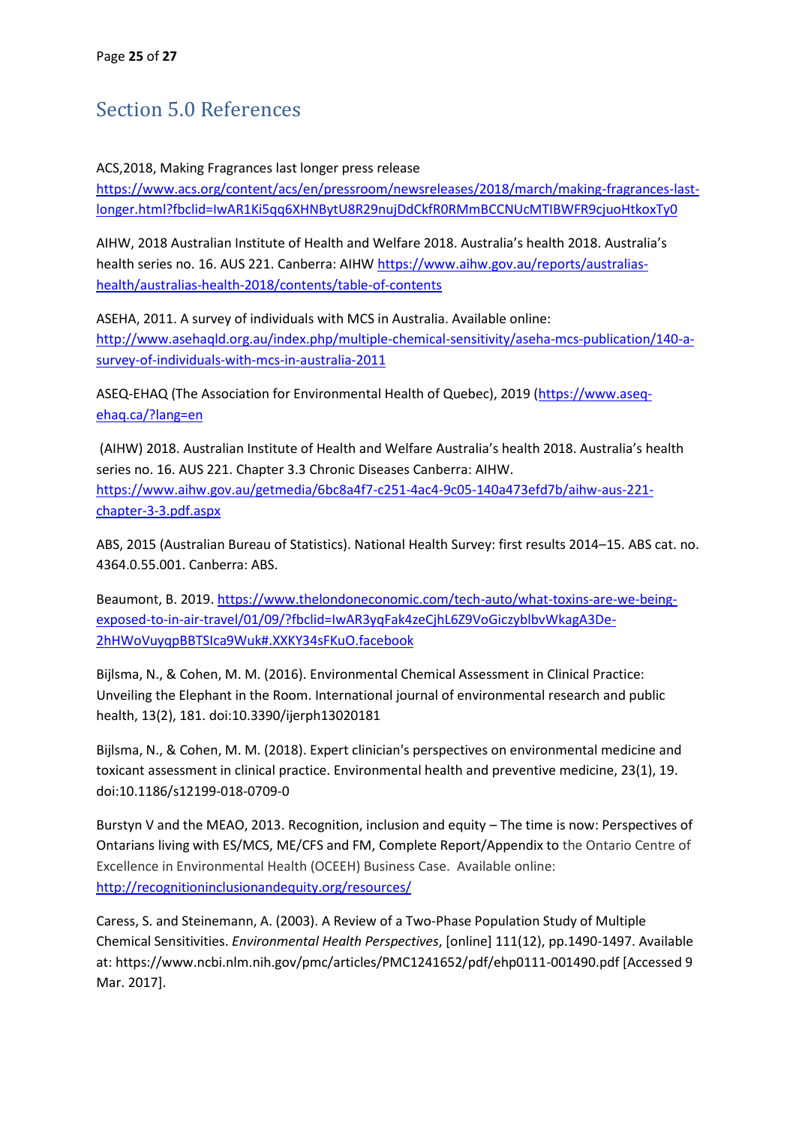# <span id="page-24-0"></span>Section 5.0 References

ACS,2018, Making Fragrances last longer press release

[https://www.acs.org/content/acs/en/pressroom/newsreleases/2018/march/making-fragrances-last](https://www.acs.org/content/acs/en/pressroom/newsreleases/2018/march/making-fragrances-last-longer.html?fbclid=IwAR1Ki5qq6XHNBytU8R29nujDdCkfR0RMmBCCNUcMTIBWFR9cjuoHtkoxTy0)[longer.html?fbclid=IwAR1Ki5qq6XHNBytU8R29nujDdCkfR0RMmBCCNUcMTIBWFR9cjuoHtkoxTy0](https://www.acs.org/content/acs/en/pressroom/newsreleases/2018/march/making-fragrances-last-longer.html?fbclid=IwAR1Ki5qq6XHNBytU8R29nujDdCkfR0RMmBCCNUcMTIBWFR9cjuoHtkoxTy0)

AIHW, 2018 Australian Institute of Health and Welfare 2018. Australia's health 2018. Australia's health series no. 16. AUS 221. Canberra: AIHW [https://www.aihw.gov.au/reports/australias](https://www.aihw.gov.au/reports/australias-health/australias-health-2018/contents/table-of-contents)[health/australias-health-2018/contents/table-of-contents](https://www.aihw.gov.au/reports/australias-health/australias-health-2018/contents/table-of-contents)

ASEHA, 2011. A survey of individuals with MCS in Australia. Available online: [http://www.asehaqld.org.au/index.php/multiple-chemical-sensitivity/aseha-mcs-publication/140-a](http://www.asehaqld.org.au/index.php/multiple-chemical-sensitivity/aseha-mcs-publication/140-a-survey-of-individuals-with-mcs-in-australia-2011)[survey-of-individuals-with-mcs-in-australia-2011](http://www.asehaqld.org.au/index.php/multiple-chemical-sensitivity/aseha-mcs-publication/140-a-survey-of-individuals-with-mcs-in-australia-2011)

ASEQ-EHAQ (The Association for Environmental Health of Quebec), 2019 [\(https://www.aseq](https://www.aseq-ehaq.ca/?lang=en)[ehaq.ca/?lang=en](https://www.aseq-ehaq.ca/?lang=en)

(AIHW) 2018. Australian Institute of Health and Welfare Australia's health 2018. Australia's health series no. 16. AUS 221. Chapter 3.3 Chronic Diseases Canberra: AIHW. [https://www.aihw.gov.au/getmedia/6bc8a4f7-c251-4ac4-9c05-140a473efd7b/aihw-aus-221](https://www.aihw.gov.au/getmedia/6bc8a4f7-c251-4ac4-9c05-140a473efd7b/aihw-aus-221-chapter-3-3.pdf.aspx) [chapter-3-3.pdf.aspx](https://www.aihw.gov.au/getmedia/6bc8a4f7-c251-4ac4-9c05-140a473efd7b/aihw-aus-221-chapter-3-3.pdf.aspx)

ABS, 2015 (Australian Bureau of Statistics). National Health Survey: first results 2014–15. ABS cat. no. 4364.0.55.001. Canberra: ABS.

Beaumont, B. 2019. [https://www.thelondoneconomic.com/tech-auto/what-toxins-are-we-being](https://www.thelondoneconomic.com/tech-auto/what-toxins-are-we-being-exposed-to-in-air-travel/01/09/?fbclid=IwAR3yqFak4zeCjhL6Z9VoGiczyblbvWkagA3De-2hHWoVuyqpBBTSIca9Wuk#.XXKY34sFKuO.facebook)[exposed-to-in-air-travel/01/09/?fbclid=IwAR3yqFak4zeCjhL6Z9VoGiczyblbvWkagA3De-](https://www.thelondoneconomic.com/tech-auto/what-toxins-are-we-being-exposed-to-in-air-travel/01/09/?fbclid=IwAR3yqFak4zeCjhL6Z9VoGiczyblbvWkagA3De-2hHWoVuyqpBBTSIca9Wuk#.XXKY34sFKuO.facebook)[2hHWoVuyqpBBTSIca9Wuk#.XXKY34sFKuO.facebook](https://www.thelondoneconomic.com/tech-auto/what-toxins-are-we-being-exposed-to-in-air-travel/01/09/?fbclid=IwAR3yqFak4zeCjhL6Z9VoGiczyblbvWkagA3De-2hHWoVuyqpBBTSIca9Wuk#.XXKY34sFKuO.facebook)

Bijlsma, N., & Cohen, M. M. (2016). Environmental Chemical Assessment in Clinical Practice: Unveiling the Elephant in the Room. International journal of environmental research and public health, 13(2), 181. doi:10.3390/ijerph13020181

Bijlsma, N., & Cohen, M. M. (2018). Expert clinician's perspectives on environmental medicine and toxicant assessment in clinical practice. Environmental health and preventive medicine, 23(1), 19. doi:10.1186/s12199-018-0709-0

Burstyn V and the MEAO, 2013. Recognition, inclusion and equity – The time is now: Perspectives of Ontarians living with ES/MCS, ME/CFS and FM, Complete Report/Appendix to the Ontario Centre of Excellence in Environmental Health (OCEEH) Business Case. Available online: <http://recognitioninclusionandequity.org/resources/>

Caress, S. and Steinemann, A. (2003). A Review of a Two-Phase Population Study of Multiple Chemical Sensitivities. *Environmental Health Perspectives*, [online] 111(12), pp.1490-1497. Available at: https://www.ncbi.nlm.nih.gov/pmc/articles/PMC1241652/pdf/ehp0111-001490.pdf [Accessed 9 Mar. 2017].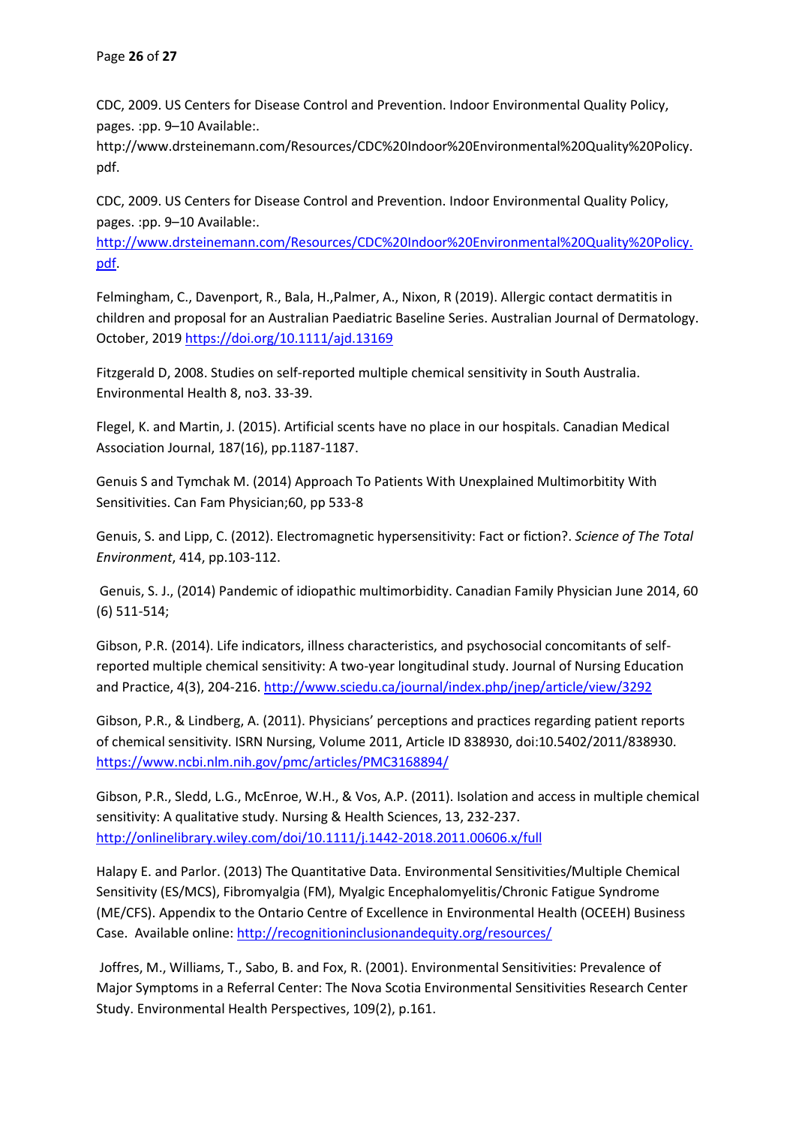CDC, 2009. US Centers for Disease Control and Prevention. Indoor Environmental Quality Policy, pages. :pp. 9–10 Available:.

http://www.drsteinemann.com/Resources/CDC%20Indoor%20Environmental%20Quality%20Policy. pdf.

CDC, 2009. US Centers for Disease Control and Prevention. Indoor Environmental Quality Policy, pages. :pp. 9–10 Available:.

[http://www.drsteinemann.com/Resources/CDC%20Indoor%20Environmental%20Quality%20Policy.](http://www.drsteinemann.com/Resources/CDC%20Indoor%20Environmental%20Quality%20Policy.pdf) [pdf.](http://www.drsteinemann.com/Resources/CDC%20Indoor%20Environmental%20Quality%20Policy.pdf)

Felmingham, C., Davenport, R., Bala, H.,Palmer, A., Nixon, R (2019). Allergic contact dermatitis in children and proposal for an Australian Paediatric Baseline Series. Australian Journal of Dermatology. October, 201[9 https://doi.org/10.1111/ajd.13169](https://doi.org/10.1111/ajd.13169)

Fitzgerald D, 2008. Studies on self-reported multiple chemical sensitivity in South Australia. Environmental Health 8, no3. 33-39.

Flegel, K. and Martin, J. (2015). Artificial scents have no place in our hospitals. Canadian Medical Association Journal, 187(16), pp.1187-1187.

Genuis S and Tymchak M. (2014) Approach To Patients With Unexplained Multimorbitity With Sensitivities. Can Fam Physician;60, pp 533-8

Genuis, S. and Lipp, C. (2012). Electromagnetic hypersensitivity: Fact or fiction?. *Science of The Total Environment*, 414, pp.103-112.

Genuis, S. J., (2014) Pandemic of idiopathic multimorbidity. Canadian Family Physician June 2014, 60 (6) 511-514;

Gibson, P.R. (2014). Life indicators, illness characteristics, and psychosocial concomitants of selfreported multiple chemical sensitivity: A two-year longitudinal study. Journal of Nursing Education and Practice, 4(3), 204-216[. http://www.sciedu.ca/journal/index.php/jnep/article/view/3292](http://www.sciedu.ca/journal/index.php/jnep/article/view/3292)

Gibson, P.R., & Lindberg, A. (2011). Physicians' perceptions and practices regarding patient reports of chemical sensitivity. ISRN Nursing, Volume 2011, Article ID 838930, doi:10.5402/2011/838930. <https://www.ncbi.nlm.nih.gov/pmc/articles/PMC3168894/>

Gibson, P.R., Sledd, L.G., McEnroe, W.H., & Vos, A.P. (2011). Isolation and access in multiple chemical sensitivity: A qualitative study. Nursing & Health Sciences, 13, 232-237. <http://onlinelibrary.wiley.com/doi/10.1111/j.1442-2018.2011.00606.x/full>

Halapy E. and Parlor. (2013) The Quantitative Data. Environmental Sensitivities/Multiple Chemical Sensitivity (ES/MCS), Fibromyalgia (FM), Myalgic Encephalomyelitis/Chronic Fatigue Syndrome (ME/CFS). Appendix to the Ontario Centre of Excellence in Environmental Health (OCEEH) Business Case. Available online:<http://recognitioninclusionandequity.org/resources/>

Joffres, M., Williams, T., Sabo, B. and Fox, R. (2001). Environmental Sensitivities: Prevalence of Major Symptoms in a Referral Center: The Nova Scotia Environmental Sensitivities Research Center Study. Environmental Health Perspectives, 109(2), p.161.